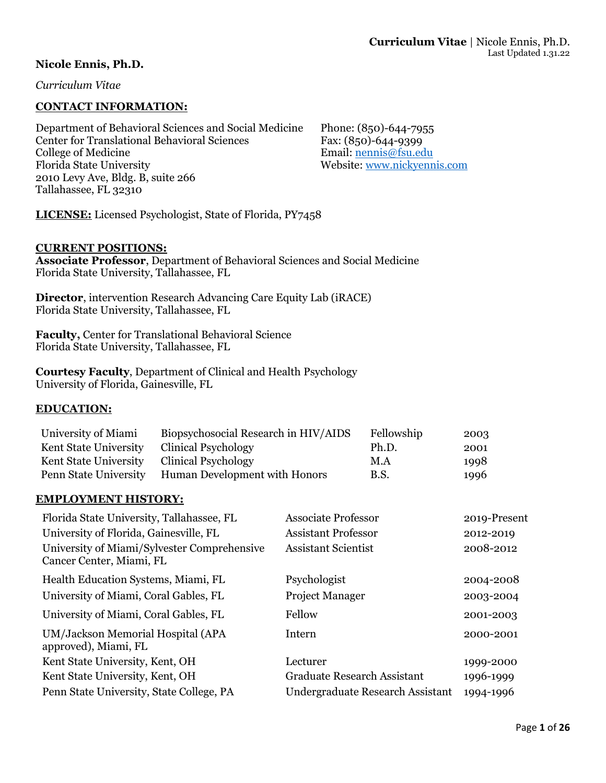### **Nicole Ennis, Ph.D.**

*Curriculum Vitae*

### **CONTACT INFORMATION:**

Department of Behavioral Sciences and Social Medicine Phone: (850)-644-7955 Center for Translational Behavioral Sciences<br>
Fax: (850)-644-9399<br>
Email: nennis@fsu.ed Florida State University Website: [www.nickyennis.com](http://www.nickyennis.com/) 2010 Levy Ave, Bldg. B, suite 266 Tallahassee, FL 32310

Email: [nennis@fsu.edu](mailto:nennis@fsu.edu)

**LICENSE:** Licensed Psychologist, State of Florida, PY7458

#### **CURRENT POSITIONS:**

**Associate Professor**, Department of Behavioral Sciences and Social Medicine Florida State University, Tallahassee, FL

**Director**, intervention Research Advancing Care Equity Lab (iRACE) Florida State University, Tallahassee, FL

**Faculty,** Center for Translational Behavioral Science Florida State University, Tallahassee, FL

**Courtesy Faculty**, Department of Clinical and Health Psychology University of Florida, Gainesville, FL

### **EDUCATION:**

| University of Miami          | Biopsychosocial Research in HIV/AIDS | Fellowship  | 2003 |
|------------------------------|--------------------------------------|-------------|------|
| <b>Kent State University</b> | <b>Clinical Psychology</b>           | Ph.D.       | 2001 |
| Kent State University        | Clinical Psychology                  | M.A         | 1998 |
| Penn State University        | Human Development with Honors        | <b>B.S.</b> | 1996 |

### **EMPLOYMENT HISTORY:**

| <b>Associate Professor</b>         | 2019-Present |
|------------------------------------|--------------|
| <b>Assistant Professor</b>         | 2012-2019    |
| <b>Assistant Scientist</b>         | 2008-2012    |
| Psychologist                       | 2004-2008    |
| <b>Project Manager</b>             | 2003-2004    |
| Fellow                             | 2001-2003    |
| Intern                             | 2000-2001    |
| Lecturer                           | 1999-2000    |
| <b>Graduate Research Assistant</b> | 1996-1999    |
| Undergraduate Research Assistant   | 1994-1996    |
|                                    |              |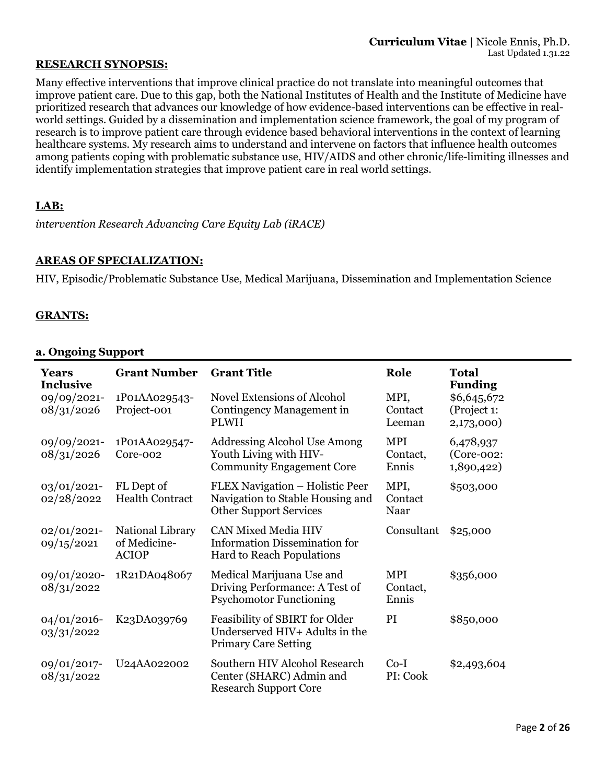### **RESEARCH SYNOPSIS:**

Many effective interventions that improve clinical practice do not translate into meaningful outcomes that improve patient care. Due to this gap, both the National Institutes of Health and the Institute of Medicine have prioritized research that advances our knowledge of how evidence-based interventions can be effective in realworld settings. Guided by a dissemination and implementation science framework, the goal of my program of research is to improve patient care through evidence based behavioral interventions in the context of learning healthcare systems. My research aims to understand and intervene on factors that influence health outcomes among patients coping with problematic substance use, HIV/AIDS and other chronic/life-limiting illnesses and identify implementation strategies that improve patient care in real world settings.

### **LAB:**

*intervention Research Advancing Care Equity Lab (iRACE)*

### **AREAS OF SPECIALIZATION:**

HIV, Episodic/Problematic Substance Use, Medical Marijuana, Dissemination and Implementation Science

### **GRANTS:**

### **a. Ongoing Support**

| <b>Years</b><br><b>Inclusive</b> | <b>Grant Number</b>                              | <b>Grant Title</b>                                                                                     | Role                            | <b>Total</b><br><b>Funding</b>            |
|----------------------------------|--------------------------------------------------|--------------------------------------------------------------------------------------------------------|---------------------------------|-------------------------------------------|
| 09/09/2021-<br>08/31/2026        | 1P01AA029543-<br>Project-001                     | <b>Novel Extensions of Alcohol</b><br>Contingency Management in<br><b>PLWH</b>                         | MPI,<br>Contact<br>Leeman       | \$6,645,672<br>(Project 1:<br>2,173,000)  |
| 09/09/2021-<br>08/31/2026        | 1P01AA029547-<br>Core-002                        | <b>Addressing Alcohol Use Among</b><br>Youth Living with HIV-<br><b>Community Engagement Core</b>      | <b>MPI</b><br>Contact,<br>Ennis | 6,478,937<br>$(Core-002)$ :<br>1,890,422) |
| 03/01/2021-<br>02/28/2022        | FL Dept of<br><b>Health Contract</b>             | FLEX Navigation - Holistic Peer<br>Navigation to Stable Housing and<br><b>Other Support Services</b>   | MPI,<br>Contact<br>Naar         | \$503,000                                 |
| $02/01/2021$ -<br>09/15/2021     | National Library<br>of Medicine-<br><b>ACIOP</b> | <b>CAN Mixed Media HIV</b><br><b>Information Dissemination for</b><br><b>Hard to Reach Populations</b> | Consultant                      | \$25,000                                  |
| 09/01/2020-<br>08/31/2022        | 1R21DA048067                                     | Medical Marijuana Use and<br>Driving Performance: A Test of<br><b>Psychomotor Functioning</b>          | <b>MPI</b><br>Contact,<br>Ennis | \$356,000                                 |
| $04/01/2016$ -<br>03/31/2022     | K23DA039769                                      | Feasibility of SBIRT for Older<br>Underserved HIV+ Adults in the<br><b>Primary Care Setting</b>        | PI                              | \$850,000                                 |
| 09/01/2017-<br>08/31/2022        | U24AA022002                                      | Southern HIV Alcohol Research<br>Center (SHARC) Admin and<br><b>Research Support Core</b>              | $Co-I$<br>PI: Cook              | \$2,493,604                               |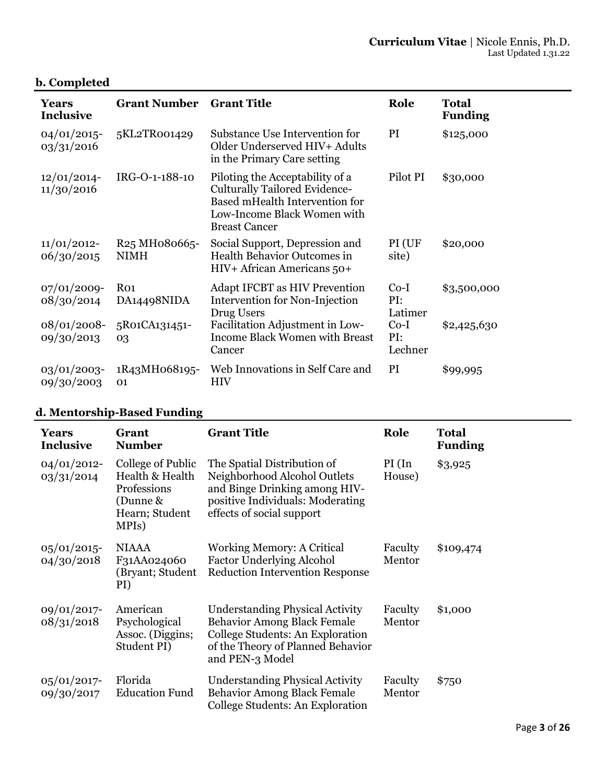# **b. Completed**

| Years<br><b>Inclusive</b>    | <b>Grant Number</b>                                                | <b>Grant Title</b>                                                                                                                                               | Role                     | <b>Total</b><br><b>Funding</b> |
|------------------------------|--------------------------------------------------------------------|------------------------------------------------------------------------------------------------------------------------------------------------------------------|--------------------------|--------------------------------|
| $04/01/2015$ -<br>03/31/2016 | 5KL2TR001429                                                       | Substance Use Intervention for<br>Older Underserved HIV+ Adults<br>in the Primary Care setting                                                                   | PI                       | \$125,000                      |
| $12/01/2014$ -<br>11/30/2016 | IRG-O-1-188-10                                                     | Piloting the Acceptability of a<br><b>Culturally Tailored Evidence-</b><br>Based mHealth Intervention for<br>Low-Income Black Women with<br><b>Breast Cancer</b> | Pilot PI                 | \$30,000                       |
| $11/01/2012$ -<br>06/30/2015 | R <sub>25</sub> MH <sub>0</sub> 8066 <sub>5</sub> -<br><b>NIMH</b> | Social Support, Depression and<br>Health Behavior Outcomes in<br>HIV+ African Americans 50+                                                                      | PI (UF<br>site)          | \$20,000                       |
| $07/01/2009$ -<br>08/30/2014 | R <sub>O1</sub><br>DA14498NIDA                                     | <b>Adapt IFCBT as HIV Prevention</b><br>Intervention for Non-Injection<br>Drug Users                                                                             | $Co-I$<br>PI:<br>Latimer | \$3,500,000                    |
| $08/01/2008$ -<br>09/30/2013 | 5R01CA131451-<br>03                                                | Facilitation Adjustment in Low-<br><b>Income Black Women with Breast</b><br>Cancer                                                                               | $Co-I$<br>PI:<br>Lechner | \$2,425,630                    |
| $03/01/2003$ -<br>09/30/2003 | 1R43MH068195-<br>01                                                | Web Innovations in Self Care and<br><b>HIV</b>                                                                                                                   | PI                       | \$99,995                       |

# **d. Mentorship-Based Funding**

| Years<br><b>Inclusive</b>    | Grant<br><b>Number</b>                                                                     | <b>Grant Title</b>                                                                                                                                                       | Role               | <b>Total</b><br><b>Funding</b> |
|------------------------------|--------------------------------------------------------------------------------------------|--------------------------------------------------------------------------------------------------------------------------------------------------------------------------|--------------------|--------------------------------|
| $04/01/2012$ -<br>03/31/2014 | College of Public<br>Health & Health<br>Professions<br>(Dunne &<br>Hearn; Student<br>MPIs) | The Spatial Distribution of<br>Neighborhood Alcohol Outlets<br>and Binge Drinking among HIV-<br>positive Individuals: Moderating<br>effects of social support            | $PI($ In<br>House) | \$3,925                        |
| $05/01/2015$ -<br>04/30/2018 | <b>NIAAA</b><br>F31AA024060<br>(Bryant; Student<br>PI)                                     | <b>Working Memory: A Critical</b><br><b>Factor Underlying Alcohol</b><br><b>Reduction Intervention Response</b>                                                          | Faculty<br>Mentor  | \$109,474                      |
| 09/01/2017-<br>08/31/2018    | American<br>Psychological<br>Assoc. (Diggins;<br>Student PI)                               | <b>Understanding Physical Activity</b><br><b>Behavior Among Black Female</b><br>College Students: An Exploration<br>of the Theory of Planned Behavior<br>and PEN-3 Model | Faculty<br>Mentor  | \$1,000                        |
| $05/01/2017$ -<br>09/30/2017 | Florida<br><b>Education Fund</b>                                                           | <b>Understanding Physical Activity</b><br><b>Behavior Among Black Female</b><br>College Students: An Exploration                                                         | Faculty<br>Mentor  | \$750                          |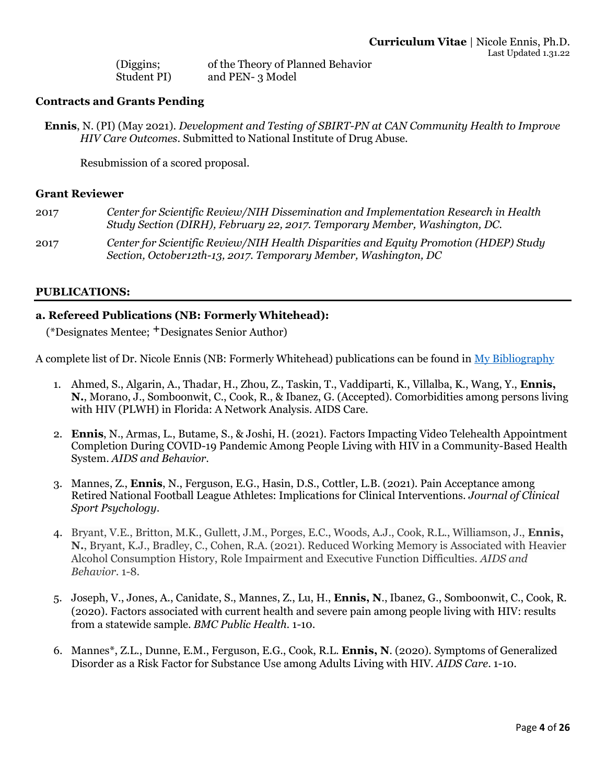(Diggins; Student PI) of the Theory of Planned Behavior and PEN- 3 Model

### **Contracts and Grants Pending**

**Ennis**, N. (PI) (May 2021). *Development and Testing of SBIRT-PN at CAN Community Health to Improve HIV Care Outcomes*. Submitted to National Institute of Drug Abuse.

Resubmission of a scored proposal.

#### **Grant Reviewer**

| 2017 | Center for Scientific Review/NIH Dissemination and Implementation Research in Health<br>Study Section (DIRH), February 22, 2017. Temporary Member, Washington, DC. |
|------|--------------------------------------------------------------------------------------------------------------------------------------------------------------------|
| 2017 | Center for Scientific Review/NIH Health Disparities and Equity Promotion (HDEP) Study<br>Section, October12th-13, 2017. Temporary Member, Washington, DC           |

#### **PUBLICATIONS:**

#### **a. Refereed Publications (NB: Formerly Whitehead):**

(\*Designates Mentee; **+**Designates Senior Author)

A complete list of Dr. Nicole Ennis (NB: Formerly Whitehead) publications can be found in [My Bibliography](https://www.ncbi.nlm.nih.gov/myncbi/nicole.whitehead.1/bibliography/public/)

- 1. Ahmed, S., Algarin, A., Thadar, H., Zhou, Z., Taskin, T., Vaddiparti, K., Villalba, K., Wang, Y., **Ennis, N.**, Morano, J., Somboonwit, C., Cook, R., & Ibanez, G. (Accepted). Comorbidities among persons living with HIV (PLWH) in Florida: A Network Analysis. AIDS Care.
- 2. **Ennis**, N., Armas, L., Butame, S., & Joshi, H. (2021). Factors Impacting Video Telehealth Appointment Completion During COVID-19 Pandemic Among People Living with HIV in a Community-Based Health System. *AIDS and Behavior*.
- 3. Mannes, Z., **Ennis**, N., Ferguson, E.G., Hasin, D.S., Cottler, L.B. (2021). Pain Acceptance among Retired National Football League Athletes: Implications for Clinical Interventions. *Journal of Clinical Sport Psychology*.
- 4. Bryant, V.E., Britton, M.K., Gullett, J.M., Porges, E.C., Woods, A.J., Cook, R.L., Williamson, J., **Ennis, N.**, Bryant, K.J., Bradley, C., Cohen, R.A. (2021). Reduced Working Memory is Associated with Heavier Alcohol Consumption History, Role Impairment and Executive Function Difficulties. *AIDS and Behavior*. 1-8.
- 5. Joseph, V., Jones, A., Canidate, S., Mannes, Z., Lu, H., **Ennis, N**., Ibanez, G., Somboonwit, C., Cook, R. (2020). Factors associated with current health and severe pain among people living with HIV: results from a statewide sample. *BMC Public Health*. 1-10.
- 6. Mannes\*, Z.L., Dunne, E.M., Ferguson, E.G., Cook, R.L. **Ennis, N**. (2020). Symptoms of Generalized Disorder as a Risk Factor for Substance Use among Adults Living with HIV. *AIDS Care*. 1-10.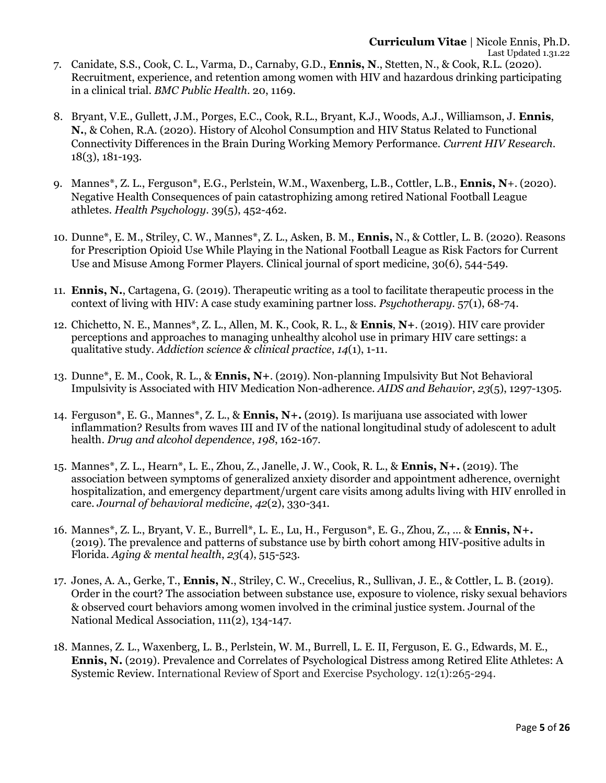- 7. Canidate, S.S., Cook, C. L., Varma, D., Carnaby, G.D., **Ennis, N**., Stetten, N., & Cook, R.L. (2020). Recruitment, experience, and retention among women with HIV and hazardous drinking participating in a clinical trial. *BMC Public Health*. 20, 1169.
- 8. Bryant, V.E., Gullett, J.M., Porges, E.C., Cook, R.L., Bryant, K.J., Woods, A.J., Williamson, J. **Ennis**, **N.**, & Cohen, R.A. (2020). History of Alcohol Consumption and HIV Status Related to Functional Connectivity Differences in the Brain During Working Memory Performance. *Current HIV Research*. 18(3), 181-193.
- 9. Mannes\*, Z. L., Ferguson\*, E.G., Perlstein, W.M., Waxenberg, L.B., Cottler, L.B., **Ennis, N**+. (2020). Negative Health Consequences of pain catastrophizing among retired National Football League athletes. *Health Psychology*. 39(5), 452-462.
- 10. Dunne\*, E. M., Striley, C. W., Mannes\*, Z. L., Asken, B. M., **Ennis,** N., & Cottler, L. B. (2020). Reasons for Prescription Opioid Use While Playing in the National Football League as Risk Factors for Current Use and Misuse Among Former Players. Clinical journal of sport medicine, 30(6), 544-549.
- 11. **Ennis, N.**, Cartagena, G. (2019). Therapeutic writing as a tool to facilitate therapeutic process in the context of living with HIV: A case study examining partner loss. *Psychotherapy*. 57(1), 68-74.
- 12. Chichetto, N. E., Mannes\*, Z. L., Allen, M. K., Cook, R. L., & **Ennis**, **N+**. (2019). HIV care provider perceptions and approaches to managing unhealthy alcohol use in primary HIV care settings: a qualitative study. *Addiction science & clinical practice*, *14*(1), 1-11.
- 13. Dunne\*, E. M., Cook, R. L., & **Ennis, N+**. (2019). Non-planning Impulsivity But Not Behavioral Impulsivity is Associated with HIV Medication Non-adherence. *AIDS and Behavior*, *23*(5), 1297-1305.
- 14. Ferguson\*, E. G., Mannes\*, Z. L., & **Ennis, N+.** (2019). Is marijuana use associated with lower inflammation? Results from waves III and IV of the national longitudinal study of adolescent to adult health. *Drug and alcohol dependence*, *198*, 162-167.
- 15. Mannes\*, Z. L., Hearn\*, L. E., Zhou, Z., Janelle, J. W., Cook, R. L., & **Ennis, N+.** (2019). The association between symptoms of generalized anxiety disorder and appointment adherence, overnight hospitalization, and emergency department/urgent care visits among adults living with HIV enrolled in care. *Journal of behavioral medicine*, *42*(2), 330-341.
- 16. Mannes\*, Z. L., Bryant, V. E., Burrell\*, L. E., Lu, H., Ferguson\*, E. G., Zhou, Z., ... & **Ennis, N+.** (2019). The prevalence and patterns of substance use by birth cohort among HIV-positive adults in Florida. *Aging & mental health*, *23*(4), 515-523.
- 17. Jones, A. A., Gerke, T., **Ennis, N**., Striley, C. W., Crecelius, R., Sullivan, J. E., & Cottler, L. B. (2019). Order in the court? The association between substance use, exposure to violence, risky sexual behaviors & observed court behaviors among women involved in the criminal justice system. Journal of the National Medical Association, 111(2), 134-147.
- 18. Mannes, Z. L., Waxenberg, L. B., Perlstein, W. M., Burrell, L. E. II, Ferguson, E. G., Edwards, M. E., **Ennis, N.** (2019). Prevalence and Correlates of Psychological Distress among Retired Elite Athletes: A Systemic Review. International Review of Sport and Exercise Psychology. 12(1):265-294.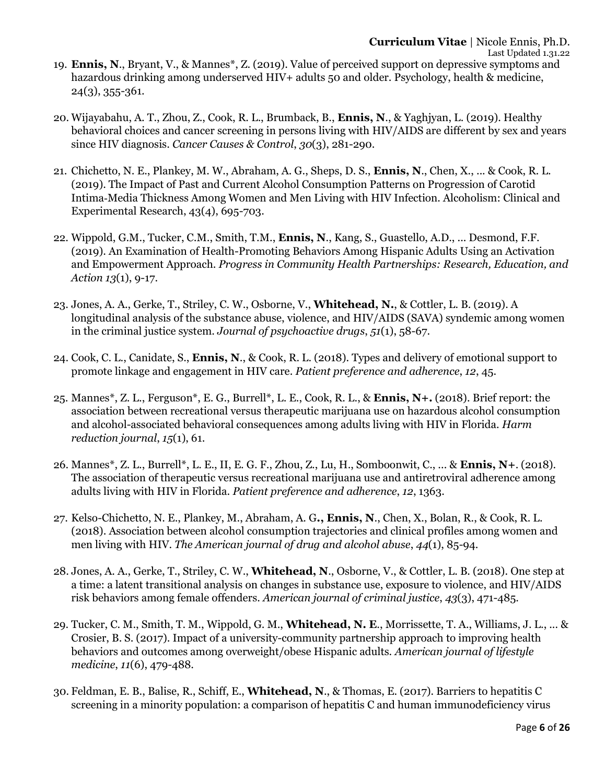- 19. **Ennis, N**., Bryant, V., & Mannes\*, Z. (2019). Value of perceived support on depressive symptoms and hazardous drinking among underserved HIV+ adults 50 and older. Psychology, health & medicine, 24(3), 355-361.
- 20. Wijayabahu, A. T., Zhou, Z., Cook, R. L., Brumback, B., **Ennis, N**., & Yaghjyan, L. (2019). Healthy behavioral choices and cancer screening in persons living with HIV/AIDS are different by sex and years since HIV diagnosis. *Cancer Causes & Control*, *30*(3), 281-290.
- 21. Chichetto, N. E., Plankey, M. W., Abraham, A. G., Sheps, D. S., **Ennis, N**., Chen, X., ... & Cook, R. L. (2019). The Impact of Past and Current Alcohol Consumption Patterns on Progression of Carotid Intima‐Media Thickness Among Women and Men Living with HIV Infection. Alcoholism: Clinical and Experimental Research, 43(4), 695-703.
- 22. Wippold, G.M., Tucker, C.M., Smith, T.M., **Ennis, N**., Kang, S., Guastello, A.D., ... Desmond, F.F. (2019). An Examination of Health-Promoting Behaviors Among Hispanic Adults Using an Activation and Empowerment Approach. *Progress in Community Health Partnerships: Research, Education, and Action 13*(1), 9-17.
- 23. Jones, A. A., Gerke, T., Striley, C. W., Osborne, V., **Whitehead, N.**, & Cottler, L. B. (2019). A longitudinal analysis of the substance abuse, violence, and HIV/AIDS (SAVA) syndemic among women in the criminal justice system. *Journal of psychoactive drugs*, *51*(1), 58-67.
- 24. Cook, C. L., Canidate, S., **Ennis, N**., & Cook, R. L. (2018). Types and delivery of emotional support to promote linkage and engagement in HIV care. *Patient preference and adherence*, *12*, 45.
- 25. Mannes\*, Z. L., Ferguson\*, E. G., Burrell\*, L. E., Cook, R. L., & **Ennis, N+.** (2018). Brief report: the association between recreational versus therapeutic marijuana use on hazardous alcohol consumption and alcohol-associated behavioral consequences among adults living with HIV in Florida. *Harm reduction journal*, *15*(1), 61.
- 26. Mannes\*, Z. L., Burrell\*, L. E., II, E. G. F., Zhou, Z., Lu, H., Somboonwit, C., ... & **Ennis, N+**. (2018). The association of therapeutic versus recreational marijuana use and antiretroviral adherence among adults living with HIV in Florida. *Patient preference and adherence*, *12*, 1363.
- 27. Kelso-Chichetto, N. E., Plankey, M., Abraham, A. G**., Ennis, N**., Chen, X., Bolan, R., & Cook, R. L. (2018). Association between alcohol consumption trajectories and clinical profiles among women and men living with HIV. *The American journal of drug and alcohol abuse*, *44*(1), 85-94.
- 28. Jones, A. A., Gerke, T., Striley, C. W., **Whitehead, N**., Osborne, V., & Cottler, L. B. (2018). One step at a time: a latent transitional analysis on changes in substance use, exposure to violence, and HIV/AIDS risk behaviors among female offenders. *American journal of criminal justice*, *43*(3), 471-485.
- 29. Tucker, C. M., Smith, T. M., Wippold, G. M., **Whitehead, N. E**., Morrissette, T. A., Williams, J. L., ... & Crosier, B. S. (2017). Impact of a university-community partnership approach to improving health behaviors and outcomes among overweight/obese Hispanic adults. *American journal of lifestyle medicine*, *11*(6), 479-488.
- 30. Feldman, E. B., Balise, R., Schiff, E., **Whitehead, N**., & Thomas, E. (2017). Barriers to hepatitis C screening in a minority population: a comparison of hepatitis C and human immunodeficiency virus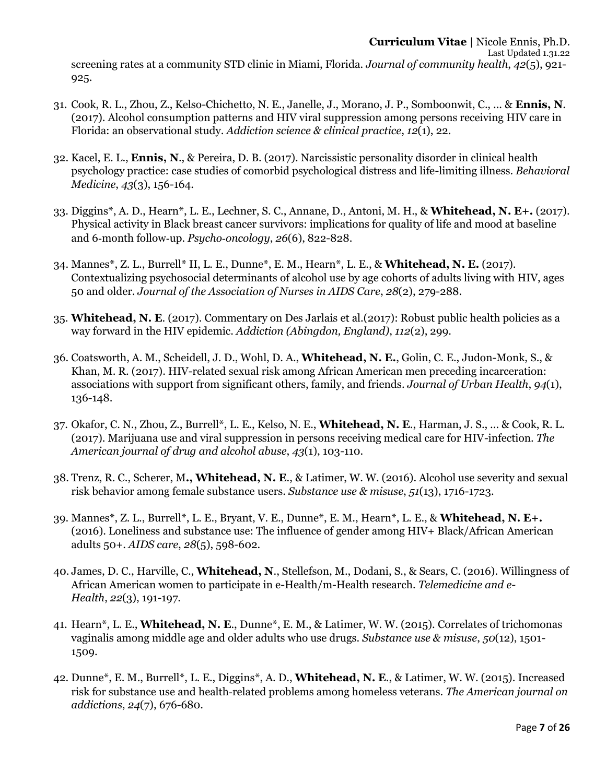screening rates at a community STD clinic in Miami, Florida. *Journal of community health*, *42*(5), 921- 925.

- 31. Cook, R. L., Zhou, Z., Kelso-Chichetto, N. E., Janelle, J., Morano, J. P., Somboonwit, C., ... & **Ennis, N**. (2017). Alcohol consumption patterns and HIV viral suppression among persons receiving HIV care in Florida: an observational study. *Addiction science & clinical practice*, *12*(1), 22.
- 32. Kacel, E. L., **Ennis, N**., & Pereira, D. B. (2017). Narcissistic personality disorder in clinical health psychology practice: case studies of comorbid psychological distress and life-limiting illness. *Behavioral Medicine*, *43*(3), 156-164.
- 33. Diggins\*, A. D., Hearn\*, L. E., Lechner, S. C., Annane, D., Antoni, M. H., & **Whitehead, N. E+.** (2017). Physical activity in Black breast cancer survivors: implications for quality of life and mood at baseline and 6‐month follow‐up. *Psycho‐oncology*, *26*(6), 822-828.
- 34. Mannes\*, Z. L., Burrell\* II, L. E., Dunne\*, E. M., Hearn\*, L. E., & **Whitehead, N. E.** (2017). Contextualizing psychosocial determinants of alcohol use by age cohorts of adults living with HIV, ages 50 and older. *Journal of the Association of Nurses in AIDS Care*, *28*(2), 279-288.
- 35. **Whitehead, N. E**. (2017). Commentary on Des Jarlais et al.(2017): Robust public health policies as a way forward in the HIV epidemic. *Addiction (Abingdon, England)*, *112*(2), 299.
- 36. Coatsworth, A. M., Scheidell, J. D., Wohl, D. A., **Whitehead, N. E.**, Golin, C. E., Judon-Monk, S., & Khan, M. R. (2017). HIV-related sexual risk among African American men preceding incarceration: associations with support from significant others, family, and friends. *Journal of Urban Health*, *94*(1), 136-148.
- 37. Okafor, C. N., Zhou, Z., Burrell\*, L. E., Kelso, N. E., **Whitehead, N. E**., Harman, J. S., ... & Cook, R. L. (2017). Marijuana use and viral suppression in persons receiving medical care for HIV-infection. *The American journal of drug and alcohol abuse*, *43*(1), 103-110.
- 38. Trenz, R. C., Scherer, M**., Whitehead, N. E**., & Latimer, W. W. (2016). Alcohol use severity and sexual risk behavior among female substance users. *Substance use & misuse*, *51*(13), 1716-1723.
- 39. Mannes\*, Z. L., Burrell\*, L. E., Bryant, V. E., Dunne\*, E. M., Hearn\*, L. E., & **Whitehead, N. E+.** (2016). Loneliness and substance use: The influence of gender among HIV+ Black/African American adults 50+. *AIDS care*, *28*(5), 598-602.
- 40. James, D. C., Harville, C., **Whitehead, N**., Stellefson, M., Dodani, S., & Sears, C. (2016). Willingness of African American women to participate in e-Health/m-Health research. *Telemedicine and e-Health*, *22*(3), 191-197.
- 41. Hearn\*, L. E., **Whitehead, N. E**., Dunne\*, E. M., & Latimer, W. W. (2015). Correlates of trichomonas vaginalis among middle age and older adults who use drugs. *Substance use & misuse*, *50*(12), 1501- 1509.
- 42. Dunne\*, E. M., Burrell\*, L. E., Diggins\*, A. D., **Whitehead, N. E**., & Latimer, W. W. (2015). Increased risk for substance use and health‐related problems among homeless veterans. *The American journal on addictions*, *24*(7), 676-680.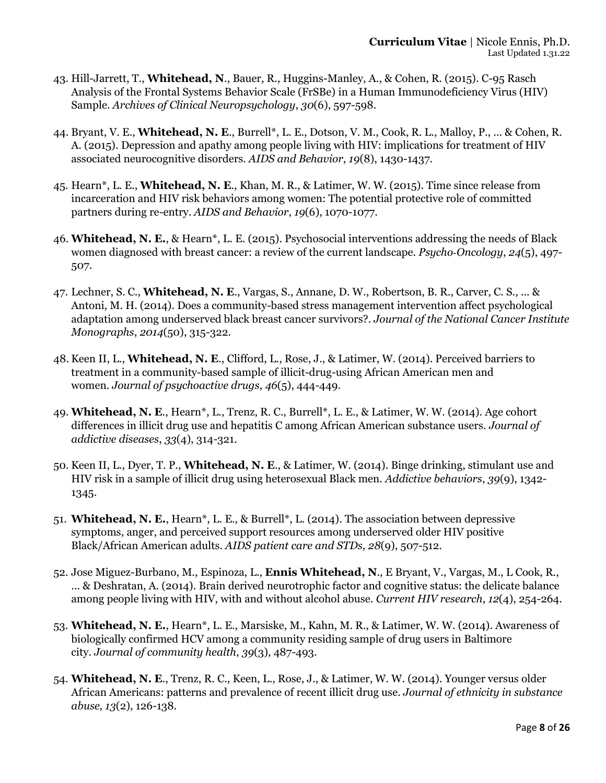- 43. Hill-Jarrett, T., **Whitehead, N**., Bauer, R., Huggins-Manley, A., & Cohen, R. (2015). C-95 Rasch Analysis of the Frontal Systems Behavior Scale (FrSBe) in a Human Immunodeficiency Virus (HIV) Sample. *Archives of Clinical Neuropsychology*, *30*(6), 597-598.
- 44. Bryant, V. E., **Whitehead, N. E**., Burrell\*, L. E., Dotson, V. M., Cook, R. L., Malloy, P., ... & Cohen, R. A. (2015). Depression and apathy among people living with HIV: implications for treatment of HIV associated neurocognitive disorders. *AIDS and Behavior*, *19*(8), 1430-1437.
- 45. Hearn\*, L. E., **Whitehead, N. E**., Khan, M. R., & Latimer, W. W. (2015). Time since release from incarceration and HIV risk behaviors among women: The potential protective role of committed partners during re-entry. *AIDS and Behavior*, *19*(6), 1070-1077.
- 46. **Whitehead, N. E.**, & Hearn\*, L. E. (2015). Psychosocial interventions addressing the needs of Black women diagnosed with breast cancer: a review of the current landscape. *Psycho‐Oncology*, *24*(5), 497- 507.
- 47. Lechner, S. C., **Whitehead, N. E**., Vargas, S., Annane, D. W., Robertson, B. R., Carver, C. S., ... & Antoni, M. H. (2014). Does a community-based stress management intervention affect psychological adaptation among underserved black breast cancer survivors?. *Journal of the National Cancer Institute Monographs*, *2014*(50), 315-322.
- 48. Keen II, L., **Whitehead, N. E**., Clifford, L., Rose, J., & Latimer, W. (2014). Perceived barriers to treatment in a community-based sample of illicit-drug-using African American men and women. *Journal of psychoactive drugs*, *46*(5), 444-449.
- 49. **Whitehead, N. E**., Hearn\*, L., Trenz, R. C., Burrell\*, L. E., & Latimer, W. W. (2014). Age cohort differences in illicit drug use and hepatitis C among African American substance users. *Journal of addictive diseases*, *33*(4), 314-321.
- 50. Keen II, L., Dyer, T. P., **Whitehead, N. E**., & Latimer, W. (2014). Binge drinking, stimulant use and HIV risk in a sample of illicit drug using heterosexual Black men. *Addictive behaviors*, *39*(9), 1342- 1345.
- 51. **Whitehead, N. E.**, Hearn\*, L. E., & Burrell\*, L. (2014). The association between depressive symptoms, anger, and perceived support resources among underserved older HIV positive Black/African American adults. *AIDS patient care and STDs*, *28*(9), 507-512.
- 52. Jose Miguez-Burbano, M., Espinoza, L., **Ennis Whitehead, N**., E Bryant, V., Vargas, M., L Cook, R., ... & Deshratan, A. (2014). Brain derived neurotrophic factor and cognitive status: the delicate balance among people living with HIV, with and without alcohol abuse. *Current HIV research*, *12*(4), 254-264.
- 53. **Whitehead, N. E.**, Hearn\*, L. E., Marsiske, M., Kahn, M. R., & Latimer, W. W. (2014). Awareness of biologically confirmed HCV among a community residing sample of drug users in Baltimore city. *Journal of community health*, *39*(3), 487-493.
- 54. **Whitehead, N. E**., Trenz, R. C., Keen, L., Rose, J., & Latimer, W. W. (2014). Younger versus older African Americans: patterns and prevalence of recent illicit drug use. *Journal of ethnicity in substance abuse*, *13*(2), 126-138.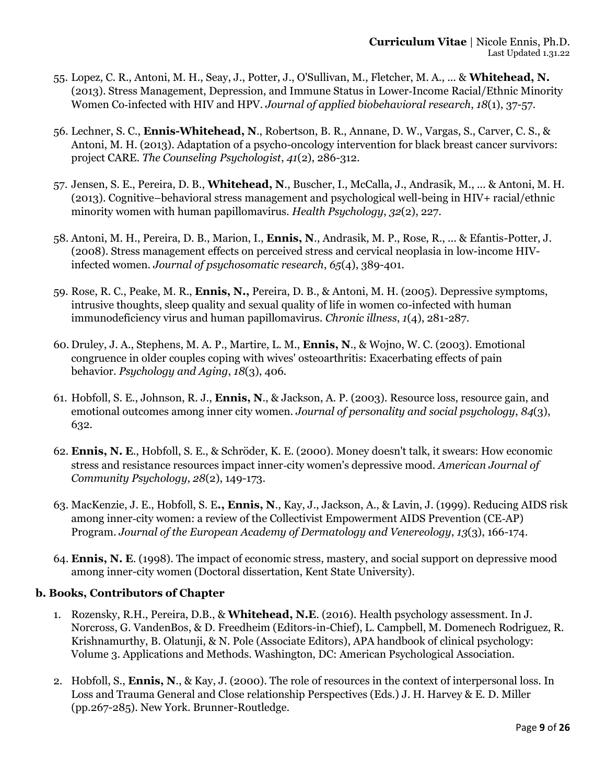- 55. Lopez, C. R., Antoni, M. H., Seay, J., Potter, J., O'Sullivan, M., Fletcher, M. A., ... & **Whitehead, N.** (2013). Stress Management, Depression, and Immune Status in Lower‐Income Racial/Ethnic Minority Women Co‐infected with HIV and HPV. *Journal of applied biobehavioral research*, *18*(1), 37-57.
- 56. Lechner, S. C., **Ennis-Whitehead, N**., Robertson, B. R., Annane, D. W., Vargas, S., Carver, C. S., & Antoni, M. H. (2013). Adaptation of a psycho-oncology intervention for black breast cancer survivors: project CARE. *The Counseling Psychologist*, *41*(2), 286-312.
- 57. Jensen, S. E., Pereira, D. B., **Whitehead, N**., Buscher, I., McCalla, J., Andrasik, M., ... & Antoni, M. H. (2013). Cognitive–behavioral stress management and psychological well-being in HIV+ racial/ethnic minority women with human papillomavirus. *Health Psychology*, *32*(2), 227.
- 58. Antoni, M. H., Pereira, D. B., Marion, I., **Ennis, N**., Andrasik, M. P., Rose, R., ... & Efantis-Potter, J. (2008). Stress management effects on perceived stress and cervical neoplasia in low-income HIVinfected women. *Journal of psychosomatic research*, *65*(4), 389-401.
- 59. Rose, R. C., Peake, M. R., **Ennis, N.,** Pereira, D. B., & Antoni, M. H. (2005). Depressive symptoms, intrusive thoughts, sleep quality and sexual quality of life in women co-infected with human immunodeficiency virus and human papillomavirus. *Chronic illness*, *1*(4), 281-287.
- 60. Druley, J. A., Stephens, M. A. P., Martire, L. M., **Ennis, N**., & Wojno, W. C. (2003). Emotional congruence in older couples coping with wives' osteoarthritis: Exacerbating effects of pain behavior. *Psychology and Aging*, *18*(3), 406.
- 61. Hobfoll, S. E., Johnson, R. J., **Ennis, N**., & Jackson, A. P. (2003). Resource loss, resource gain, and emotional outcomes among inner city women. *Journal of personality and social psychology*, *84*(3), 632.
- 62. **Ennis, N. E**., Hobfoll, S. E., & Schröder, K. E. (2000). Money doesn't talk, it swears: How economic stress and resistance resources impact inner‐city women's depressive mood. *American Journal of Community Psychology*, *28*(2), 149-173.
- 63. MacKenzie, J. E., Hobfoll, S. E**., Ennis, N**., Kay, J., Jackson, A., & Lavin, J. (1999). Reducing AIDS risk among inner-city women: a review of the Collectivist Empowerment AIDS Prevention (CE-AP) Program. *Journal of the European Academy of Dermatology and Venereology*, *13*(3), 166-174.
- 64. **Ennis, N. E**. (1998). The impact of economic stress, mastery, and social support on depressive mood among inner-city women (Doctoral dissertation, Kent State University).

# **b. Books, Contributors of Chapter**

- 1. Rozensky, R.H., Pereira, D.B., & **Whitehead, N.E**. (2016). Health psychology assessment. In J. Norcross, G. VandenBos, & D. Freedheim (Editors-in-Chief), L. Campbell, M. Domenech Rodriguez, R. Krishnamurthy, B. Olatunji, & N. Pole (Associate Editors), APA handbook of clinical psychology: Volume 3. Applications and Methods. Washington, DC: American Psychological Association.
- 2. Hobfoll, S., **Ennis, N**., & Kay, J. (2000). The role of resources in the context of interpersonal loss. In Loss and Trauma General and Close relationship Perspectives (Eds.) J. H. Harvey & E. D. Miller (pp.267-285). New York. Brunner-Routledge.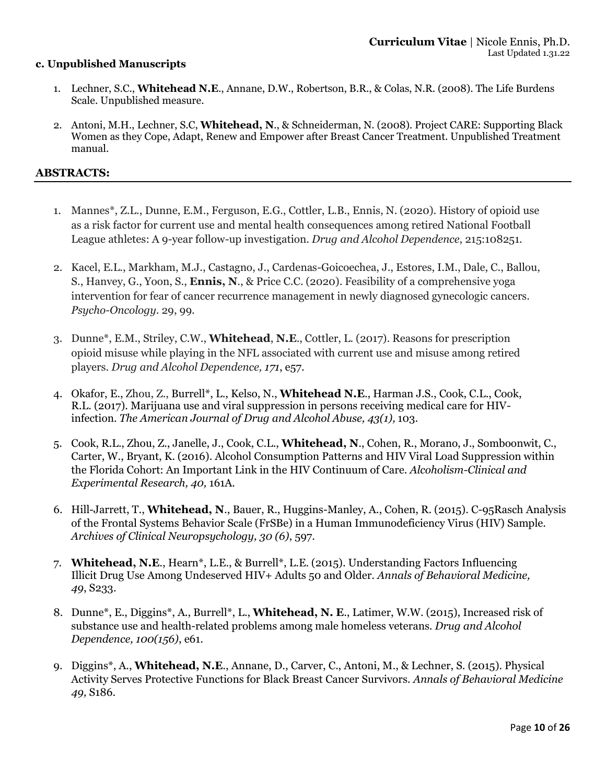### **c. Unpublished Manuscripts**

- 1. Lechner, S.C., **Whitehead N.E**., Annane, D.W., Robertson, B.R., & Colas, N.R. (2008). The Life Burdens Scale. Unpublished measure.
- 2. Antoni, M.H., Lechner, S.C, **Whitehead, N**., & Schneiderman, N. (2008). Project CARE: Supporting Black Women as they Cope, Adapt, Renew and Empower after Breast Cancer Treatment. Unpublished Treatment manual.

#### **ABSTRACTS:**

- 1. Mannes\*, Z.L., Dunne, E.M., Ferguson, E.G., Cottler, L.B., Ennis, N. (2020). History of opioid use as a risk factor for current use and mental health consequences among retired National Football League athletes: A 9-year follow-up investigation. *Drug and Alcohol Dependence*, 215:108251.
- 2. Kacel, E.L., Markham, M.J., Castagno, J., Cardenas-Goicoechea, J., Estores, I.M., Dale, C., Ballou, S., Hanvey, G., Yoon, S., **Ennis, N**., & Price C.C. (2020). Feasibility of a comprehensive yoga intervention for fear of cancer recurrence management in newly diagnosed gynecologic cancers. *Psycho-Oncology*. 29, 99.
- 3. Dunne\*, E.M., Striley, C.W., **Whitehead**, **N.E**., Cottler, L. (2017). Reasons for prescription opioid misuse while playing in the NFL associated with current use and misuse among retired players. *Drug and Alcohol Dependence, 171*, e57.
- 4. Okafor, E., Zhou, Z., Burrell\*, L., Kelso, N., **Whitehead N.E**., Harman J.S., Cook, C.L., Cook, R.L. (2017). Marijuana use and viral suppression in persons receiving medical care for HIVinfection. *The American Journal of Drug and Alcohol Abuse, 43(1),* 103.
- 5. Cook, R.L., Zhou, Z., Janelle, J., Cook, C.L., **Whitehead, N**., Cohen, R., Morano, J., Somboonwit, C., Carter, W., Bryant, K. (2016). Alcohol Consumption Patterns and HIV Viral Load Suppression within the Florida Cohort: An Important Link in the HIV Continuum of Care. *Alcoholism-Clinical and Experimental Research, 40,* 161A.
- 6. Hill-Jarrett, T., **Whitehead, N**., Bauer, R., Huggins-Manley, A., Cohen, R. (2015). C-95Rasch Analysis of the Frontal Systems Behavior Scale (FrSBe) in a Human Immunodeficiency Virus (HIV) Sample. *Archives of Clinical Neuropsychology, 30 (6)*, 597.
- 7. **Whitehead, N.E**., Hearn\*, L.E., & Burrell\*, L.E. (2015). Understanding Factors Influencing Illicit Drug Use Among Undeserved HIV+ Adults 50 and Older. *Annals of Behavioral Medicine, 49*, S233.
- 8. Dunne\*, E., Diggins\*, A., Burrell\*, L., **Whitehead, N. E**., Latimer, W.W. (2015), Increased risk of substance use and health-related problems among male homeless veterans. *Drug and Alcohol Dependence, 100(156)*, e61.
- 9. Diggins\*, A., **Whitehead, N.E**., Annane, D., Carver, C., Antoni, M., & Lechner, S. (2015). Physical Activity Serves Protective Functions for Black Breast Cancer Survivors. *Annals of Behavioral Medicine 49,* S186.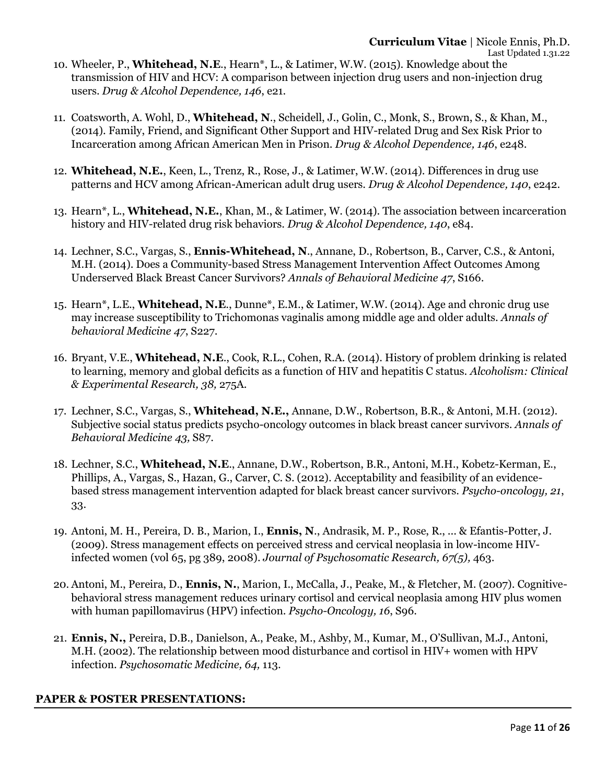- 10. Wheeler, P., **Whitehead, N.E**., Hearn\*, L., & Latimer, W.W. (2015). Knowledge about the transmission of HIV and HCV: A comparison between injection drug users and non-injection drug users. *Drug & Alcohol Dependence, 146*, e21.
- 11. Coatsworth, A. Wohl, D., **Whitehead, N**., Scheidell, J., Golin, C., Monk, S., Brown, S., & Khan, M., (2014). Family, Friend, and Significant Other Support and HIV-related Drug and Sex Risk Prior to Incarceration among African American Men in Prison. *Drug & Alcohol Dependence, 146*, e248.
- 12. **Whitehead, N.E.**, Keen, L., Trenz, R., Rose, J., & Latimer, W.W. (2014). Differences in drug use patterns and HCV among African-American adult drug users. *Drug & Alcohol Dependence, 140*, e242.
- 13. Hearn\*, L., **Whitehead, N.E.**, Khan, M., & Latimer, W. (2014). The association between incarceration history and HIV-related drug risk behaviors. *Drug & Alcohol Dependence, 140*, e84.
- 14. Lechner, S.C., Vargas, S., **Ennis-Whitehead, N**., Annane, D., Robertson, B., Carver, C.S., & Antoni, M.H. (2014). Does a Community-based Stress Management Intervention Affect Outcomes Among Underserved Black Breast Cancer Survivors? *Annals of Behavioral Medicine 47*, S166.
- 15. Hearn\*, L.E., **Whitehead, N.E**., Dunne\*, E.M., & Latimer, W.W. (2014). Age and chronic drug use may increase susceptibility to Trichomonas vaginalis among middle age and older adults. *Annals of behavioral Medicine 47*, S227.
- 16. Bryant, V.E., **Whitehead, N.E**., Cook, R.L., Cohen, R.A. (2014). History of problem drinking is related to learning, memory and global deficits as a function of HIV and hepatitis C status. *Alcoholism: Clinical & Experimental Research, 38,* 275A.
- 17. Lechner, S.C., Vargas, S., **Whitehead, N.E.,** Annane, D.W., Robertson, B.R., & Antoni, M.H. (2012). Subjective social status predicts psycho-oncology outcomes in black breast cancer survivors. *Annals of Behavioral Medicine 43,* S87.
- 18. Lechner, S.C., **Whitehead, N.E**., Annane, D.W., Robertson, B.R., Antoni, M.H., Kobetz-Kerman, E., Phillips, A., Vargas, S., Hazan, G., Carver, C. S. (2012). Acceptability and feasibility of an evidencebased stress management intervention adapted for black breast cancer survivors. *Psycho-oncology, 21*, 33.
- 19. Antoni, M. H., Pereira, D. B., Marion, I., **Ennis, N**., Andrasik, M. P., Rose, R., ... & Efantis-Potter, J. (2009). Stress management effects on perceived stress and cervical neoplasia in low-income HIVinfected women (vol 65, pg 389, 2008). *Journal of Psychosomatic Research, 67(5),* 463.
- 20. Antoni, M., Pereira, D., **Ennis, N.**, Marion, I., McCalla, J., Peake, M., & Fletcher, M. (2007). Cognitivebehavioral stress management reduces urinary cortisol and cervical neoplasia among HIV plus women with human papillomavirus (HPV) infection. *Psycho-Oncology, 16*, S96.
- 21. **Ennis, N.,** Pereira, D.B., Danielson, A., Peake, M., Ashby, M., Kumar, M., O'Sullivan, M.J., Antoni, M.H. (2002). The relationship between mood disturbance and cortisol in HIV+ women with HPV infection. *Psychosomatic Medicine, 64,* 113.

# **PAPER & POSTER PRESENTATIONS:**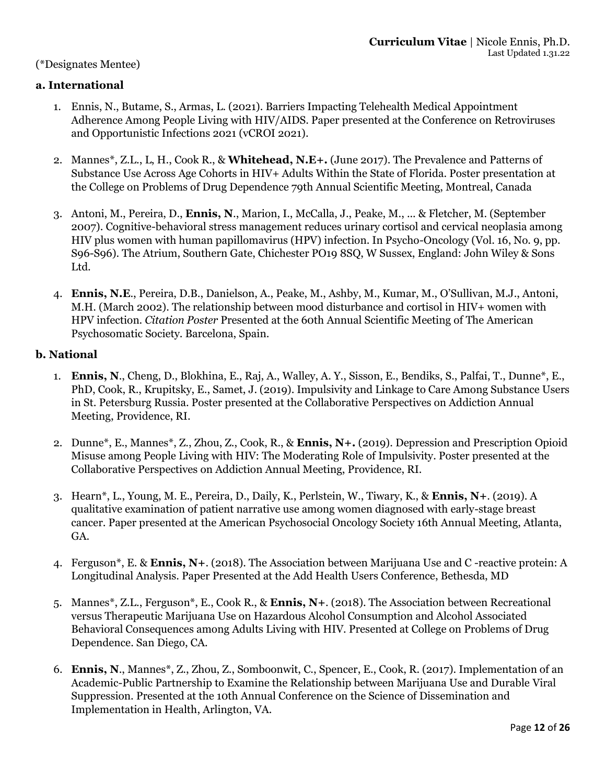### (\*Designates Mentee)

## **a. International**

- 1. Ennis, N., Butame, S., Armas, L. (2021). Barriers Impacting Telehealth Medical Appointment Adherence Among People Living with HIV/AIDS. Paper presented at the Conference on Retroviruses and Opportunistic Infections 2021 (vCROI 2021).
- 2. Mannes\*, Z.L., L, H., Cook R., & **Whitehead, N.E+.** (June 2017). The Prevalence and Patterns of Substance Use Across Age Cohorts in HIV+ Adults Within the State of Florida. Poster presentation at the College on Problems of Drug Dependence 79th Annual Scientific Meeting, Montreal, Canada
- 3. Antoni, M., Pereira, D., **Ennis, N**., Marion, I., McCalla, J., Peake, M., ... & Fletcher, M. (September 2007). Cognitive-behavioral stress management reduces urinary cortisol and cervical neoplasia among HIV plus women with human papillomavirus (HPV) infection. In Psycho-Oncology (Vol. 16, No. 9, pp. S96-S96). The Atrium, Southern Gate, Chichester PO19 8SQ, W Sussex, England: John Wiley & Sons Ltd.
- 4. **Ennis, N.E**., Pereira, D.B., Danielson, A., Peake, M., Ashby, M., Kumar, M., O'Sullivan, M.J., Antoni, M.H. (March 2002). The relationship between mood disturbance and cortisol in HIV+ women with HPV infection. *Citation Poster* Presented at the 60th Annual Scientific Meeting of The American Psychosomatic Society. Barcelona, Spain.

### **b. National**

- 1. **Ennis, N**., Cheng, D., Blokhina, E., Raj, A., Walley, A. Y., Sisson, E., Bendiks, S., Palfai, T., Dunne\*, E., PhD, Cook, R., Krupitsky, E., Samet, J. (2019). Impulsivity and Linkage to Care Among Substance Users in St. Petersburg Russia. Poster presented at the Collaborative Perspectives on Addiction Annual Meeting, Providence, RI.
- 2. Dunne\*, E., Mannes\*, Z., Zhou, Z., Cook, R., & **Ennis, N+.** (2019). Depression and Prescription Opioid Misuse among People Living with HIV: The Moderating Role of Impulsivity. Poster presented at the Collaborative Perspectives on Addiction Annual Meeting, Providence, RI.
- 3. Hearn\*, L., Young, M. E., Pereira, D., Daily, K., Perlstein, W., Tiwary, K., & **Ennis, N+**. (2019). A qualitative examination of patient narrative use among women diagnosed with early-stage breast cancer. Paper presented at the American Psychosocial Oncology Society 16th Annual Meeting, Atlanta, GA.
- 4. Ferguson\*, E. & **Ennis, N+**. (2018). The Association between Marijuana Use and C -reactive protein: A Longitudinal Analysis. Paper Presented at the Add Health Users Conference, Bethesda, MD
- 5. Mannes\*, Z.L., Ferguson\*, E., Cook R., & **Ennis, N+**. (2018). The Association between Recreational versus Therapeutic Marijuana Use on Hazardous Alcohol Consumption and Alcohol Associated Behavioral Consequences among Adults Living with HIV. Presented at College on Problems of Drug Dependence. San Diego, CA.
- 6. **Ennis, N**., Mannes\*, Z., Zhou, Z., Somboonwit, C., Spencer, E., Cook, R. (2017). Implementation of an Academic-Public Partnership to Examine the Relationship between Marijuana Use and Durable Viral Suppression. Presented at the 10th Annual Conference on the Science of Dissemination and Implementation in Health, Arlington, VA.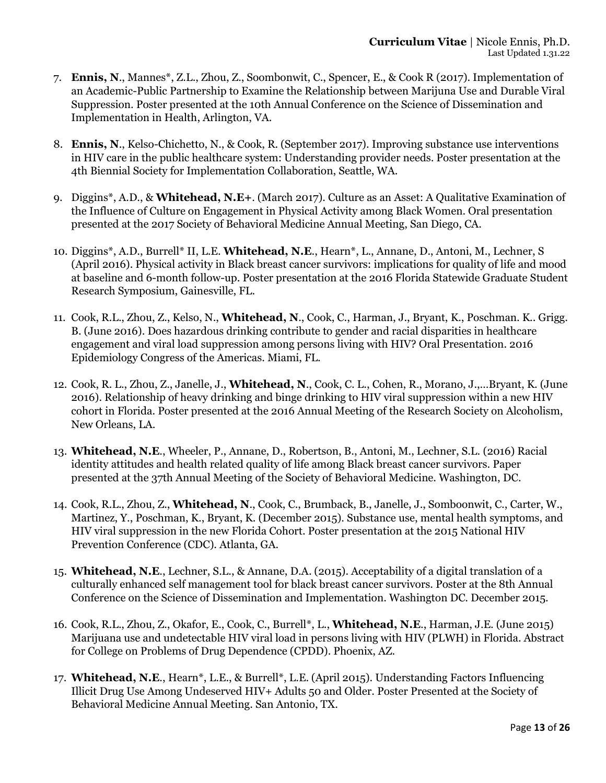- 7. **Ennis, N**., Mannes\*, Z.L., Zhou, Z., Soombonwit, C., Spencer, E., & Cook R (2017). Implementation of an Academic-Public Partnership to Examine the Relationship between Marijuna Use and Durable Viral Suppression. Poster presented at the 10th Annual Conference on the Science of Dissemination and Implementation in Health, Arlington, VA.
- 8. **Ennis, N**., Kelso-Chichetto, N., & Cook, R. (September 2017). Improving substance use interventions in HIV care in the public healthcare system: Understanding provider needs. Poster presentation at the 4th Biennial Society for Implementation Collaboration, Seattle, WA.
- 9. Diggins\*, A.D., & **Whitehead, N.E+**. (March 2017). Culture as an Asset: A Qualitative Examination of the Influence of Culture on Engagement in Physical Activity among Black Women. Oral presentation presented at the 2017 Society of Behavioral Medicine Annual Meeting, San Diego, CA.
- 10. Diggins\*, A.D., Burrell\* II, L.E. **Whitehead, N.E**., Hearn\*, L., Annane, D., Antoni, M., Lechner, S (April 2016). Physical activity in Black breast cancer survivors: implications for quality of life and mood at baseline and 6-month follow-up. Poster presentation at the 2016 Florida Statewide Graduate Student Research Symposium, Gainesville, FL.
- 11. Cook, R.L., Zhou, Z., Kelso, N., **Whitehead, N**., Cook, C., Harman, J., Bryant, K., Poschman. K.. Grigg. B. (June 2016). Does hazardous drinking contribute to gender and racial disparities in healthcare engagement and viral load suppression among persons living with HIV? Oral Presentation. 2016 Epidemiology Congress of the Americas. Miami, FL.
- 12. Cook, R. L., Zhou, Z., Janelle, J., **Whitehead, N**., Cook, C. L., Cohen, R., Morano, J.,…Bryant, K. (June 2016). Relationship of heavy drinking and binge drinking to HIV viral suppression within a new HIV cohort in Florida. Poster presented at the 2016 Annual Meeting of the Research Society on Alcoholism, New Orleans, LA.
- 13. **Whitehead, N.E**., Wheeler, P., Annane, D., Robertson, B., Antoni, M., Lechner, S.L. (2016) Racial identity attitudes and health related quality of life among Black breast cancer survivors. Paper presented at the 37th Annual Meeting of the Society of Behavioral Medicine. Washington, DC.
- 14. Cook, R.L., Zhou, Z., **Whitehead, N**., Cook, C., Brumback, B., Janelle, J., Somboonwit, C., Carter, W., Martinez, Y., Poschman, K., Bryant, K. (December 2015). Substance use, mental health symptoms, and HIV viral suppression in the new Florida Cohort. Poster presentation at the 2015 National HIV Prevention Conference (CDC). Atlanta, GA.
- 15. **Whitehead, N.E**., Lechner, S.L., & Annane, D.A. (2015). Acceptability of a digital translation of a culturally enhanced self management tool for black breast cancer survivors. Poster at the 8th Annual Conference on the Science of Dissemination and Implementation. Washington DC. December 2015.
- 16. Cook, R.L., Zhou, Z., Okafor, E., Cook, C., Burrell\*, L., **Whitehead, N.E**., Harman, J.E. (June 2015) Marijuana use and undetectable HIV viral load in persons living with HIV (PLWH) in Florida. Abstract for College on Problems of Drug Dependence (CPDD). Phoenix, AZ.
- 17. **Whitehead, N.E**., Hearn\*, L.E., & Burrell\*, L.E. (April 2015). Understanding Factors Influencing Illicit Drug Use Among Undeserved HIV+ Adults 50 and Older. Poster Presented at the Society of Behavioral Medicine Annual Meeting. San Antonio, TX.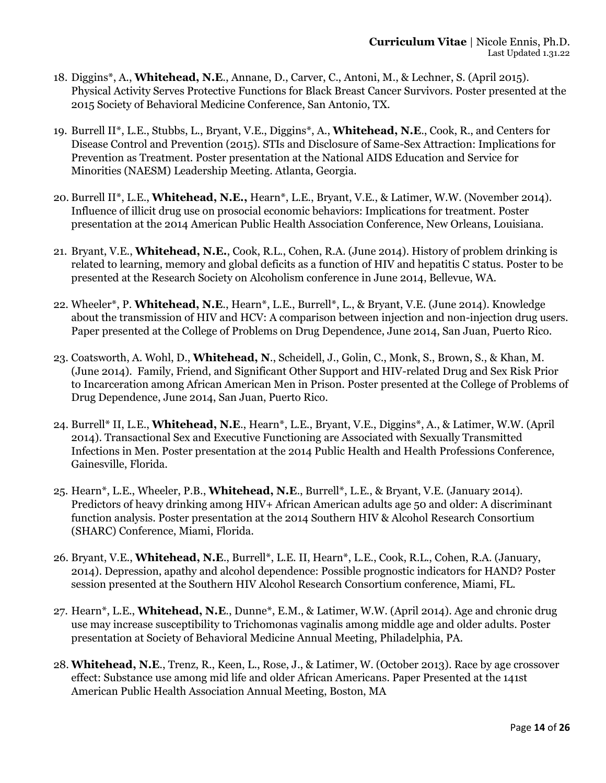- 18. Diggins\*, A., **Whitehead, N.E**., Annane, D., Carver, C., Antoni, M., & Lechner, S. (April 2015). Physical Activity Serves Protective Functions for Black Breast Cancer Survivors. Poster presented at the 2015 Society of Behavioral Medicine Conference, San Antonio, TX.
- 19. Burrell II\*, L.E., Stubbs, L., Bryant, V.E., Diggins\*, A., **Whitehead, N.E**., Cook, R., and Centers for Disease Control and Prevention (2015). STIs and Disclosure of Same-Sex Attraction: Implications for Prevention as Treatment. Poster presentation at the National AIDS Education and Service for Minorities (NAESM) Leadership Meeting. Atlanta, Georgia.
- 20. Burrell II\*, L.E., **Whitehead, N.E.,** Hearn\*, L.E., Bryant, V.E., & Latimer, W.W. (November 2014). Influence of illicit drug use on prosocial economic behaviors: Implications for treatment. Poster presentation at the 2014 American Public Health Association Conference, New Orleans, Louisiana.
- 21. Bryant, V.E., **Whitehead, N.E.**, Cook, R.L., Cohen, R.A. (June 2014). History of problem drinking is related to learning, memory and global deficits as a function of HIV and hepatitis C status. Poster to be presented at the Research Society on Alcoholism conference in June 2014, Bellevue, WA.
- 22. Wheeler\*, P. **Whitehead, N.E**., Hearn\*, L.E., Burrell\*, L., & Bryant, V.E. (June 2014). Knowledge about the transmission of HIV and HCV: A comparison between injection and non-injection drug users. Paper presented at the College of Problems on Drug Dependence, June 2014, San Juan, Puerto Rico.
- 23. Coatsworth, A. Wohl, D., **Whitehead, N**., Scheidell, J., Golin, C., Monk, S., Brown, S., & Khan, M. (June 2014). Family, Friend, and Significant Other Support and HIV-related Drug and Sex Risk Prior to Incarceration among African American Men in Prison. Poster presented at the College of Problems of Drug Dependence, June 2014, San Juan, Puerto Rico.
- 24. Burrell\* II, L.E., **Whitehead, N.E**., Hearn\*, L.E., Bryant, V.E., Diggins\*, A., & Latimer, W.W. (April 2014). Transactional Sex and Executive Functioning are Associated with Sexually Transmitted Infections in Men. Poster presentation at the 2014 Public Health and Health Professions Conference, Gainesville, Florida.
- 25. Hearn\*, L.E., Wheeler, P.B., **Whitehead, N.E**., Burrell\*, L.E., & Bryant, V.E. (January 2014). Predictors of heavy drinking among HIV+ African American adults age 50 and older: A discriminant function analysis. Poster presentation at the 2014 Southern HIV & Alcohol Research Consortium (SHARC) Conference, Miami, Florida.
- 26. Bryant, V.E., **Whitehead, N.E**., Burrell\*, L.E. II, Hearn\*, L.E., Cook, R.L., Cohen, R.A. (January, 2014). Depression, apathy and alcohol dependence: Possible prognostic indicators for HAND? Poster session presented at the Southern HIV Alcohol Research Consortium conference, Miami, FL.
- 27. Hearn\*, L.E., **Whitehead, N.E**., Dunne\*, E.M., & Latimer, W.W. (April 2014). Age and chronic drug use may increase susceptibility to Trichomonas vaginalis among middle age and older adults. Poster presentation at Society of Behavioral Medicine Annual Meeting, Philadelphia, PA.
- 28. **Whitehead, N.E**., Trenz, R., Keen, L., Rose, J., & Latimer, W. (October 2013). Race by age crossover effect: Substance use among mid life and older African Americans. Paper Presented at the 141st American Public Health Association Annual Meeting, Boston, MA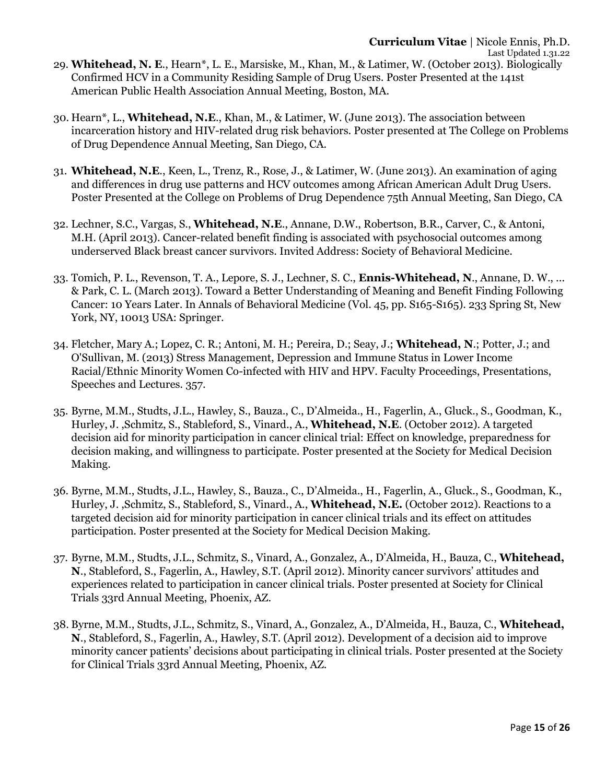30. Hearn\*, L., **Whitehead, N.E**., Khan, M., & Latimer, W. (June 2013). The association between incarceration history and HIV-related drug risk behaviors. Poster presented at The College on Problems of Drug Dependence Annual Meeting, San Diego, CA.

American Public Health Association Annual Meeting, Boston, MA.

- 31. **Whitehead, N.E**., Keen, L., Trenz, R., Rose, J., & Latimer, W. (June 2013). An examination of aging and differences in drug use patterns and HCV outcomes among African American Adult Drug Users. Poster Presented at the College on Problems of Drug Dependence 75th Annual Meeting, San Diego, CA
- 32. Lechner, S.C., Vargas, S., **Whitehead, N.E**., Annane, D.W., Robertson, B.R., Carver, C., & Antoni, M.H. (April 2013). Cancer-related benefit finding is associated with psychosocial outcomes among underserved Black breast cancer survivors. Invited Address: Society of Behavioral Medicine.
- 33. Tomich, P. L., Revenson, T. A., Lepore, S. J., Lechner, S. C., **Ennis-Whitehead, N**., Annane, D. W., ... & Park, C. L. (March 2013). Toward a Better Understanding of Meaning and Benefit Finding Following Cancer: 10 Years Later. In Annals of Behavioral Medicine (Vol. 45, pp. S165-S165). 233 Spring St, New York, NY, 10013 USA: Springer.
- 34. Fletcher, Mary A.; Lopez, C. R.; Antoni, M. H.; Pereira, D.; Seay, J.; **Whitehead, N**.; Potter, J.; and O'Sullivan, M. (2013) Stress Management, Depression and Immune Status in Lower Income Racial/Ethnic Minority Women Co-infected with HIV and HPV. Faculty Proceedings, Presentations, Speeches and Lectures*.* 357.
- 35. Byrne, M.M., Studts, J.L., Hawley, S., Bauza., C., D'Almeida., H., Fagerlin, A., Gluck., S., Goodman, K., Hurley, J. ,Schmitz, S., Stableford, S., Vinard., A., **Whitehead, N.E**. (October 2012). A targeted decision aid for minority participation in cancer clinical trial: Effect on knowledge, preparedness for decision making, and willingness to participate. Poster presented at the Society for Medical Decision Making.
- 36. Byrne, M.M., Studts, J.L., Hawley, S., Bauza., C., D'Almeida., H., Fagerlin, A., Gluck., S., Goodman, K., Hurley, J. ,Schmitz, S., Stableford, S., Vinard., A., **Whitehead, N.E.** (October 2012). Reactions to a targeted decision aid for minority participation in cancer clinical trials and its effect on attitudes participation. Poster presented at the Society for Medical Decision Making.
- 37. Byrne, M.M., Studts, J.L., Schmitz, S., Vinard, A., Gonzalez, A., D'Almeida, H., Bauza, C., **Whitehead, N**., Stableford, S., Fagerlin, A., Hawley, S.T. (April 2012). Minority cancer survivors' attitudes and experiences related to participation in cancer clinical trials. Poster presented at Society for Clinical Trials 33rd Annual Meeting, Phoenix, AZ.
- 38. Byrne, M.M., Studts, J.L., Schmitz, S., Vinard, A., Gonzalez, A., D'Almeida, H., Bauza, C., **Whitehead, N**., Stableford, S., Fagerlin, A., Hawley, S.T. (April 2012). Development of a decision aid to improve minority cancer patients' decisions about participating in clinical trials. Poster presented at the Society for Clinical Trials 33rd Annual Meeting, Phoenix, AZ.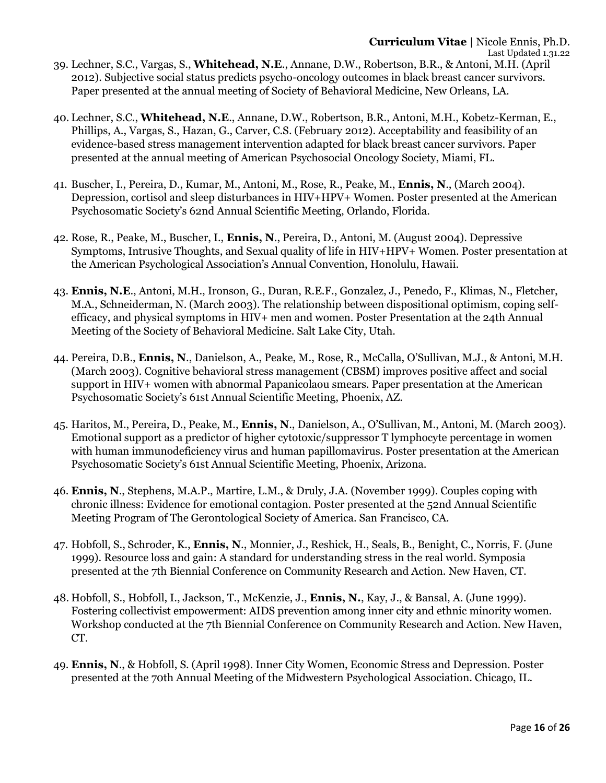- 2012). Subjective social status predicts psycho-oncology outcomes in black breast cancer survivors. Paper presented at the annual meeting of Society of Behavioral Medicine, New Orleans, LA.
- 40. Lechner, S.C., **Whitehead, N.E**., Annane, D.W., Robertson, B.R., Antoni, M.H., Kobetz-Kerman, E., Phillips, A., Vargas, S., Hazan, G., Carver, C.S. (February 2012). Acceptability and feasibility of an evidence-based stress management intervention adapted for black breast cancer survivors. Paper presented at the annual meeting of American Psychosocial Oncology Society, Miami, FL.
- 41. Buscher, I., Pereira, D., Kumar, M., Antoni, M., Rose, R., Peake, M., **Ennis, N**., (March 2004). Depression, cortisol and sleep disturbances in HIV+HPV+ Women. Poster presented at the American Psychosomatic Society's 62nd Annual Scientific Meeting, Orlando, Florida.
- 42. Rose, R., Peake, M., Buscher, I., **Ennis, N**., Pereira, D., Antoni, M. (August 2004). Depressive Symptoms, Intrusive Thoughts, and Sexual quality of life in HIV+HPV+ Women. Poster presentation at the American Psychological Association's Annual Convention, Honolulu, Hawaii.
- 43. **Ennis, N.E**., Antoni, M.H., Ironson, G., Duran, R.E.F., Gonzalez, J., Penedo, F., Klimas, N., Fletcher, M.A., Schneiderman, N. (March 2003). The relationship between dispositional optimism, coping selfefficacy, and physical symptoms in HIV+ men and women. Poster Presentation at the 24th Annual Meeting of the Society of Behavioral Medicine. Salt Lake City, Utah.
- 44. Pereira, D.B., **Ennis, N**., Danielson, A., Peake, M., Rose, R., McCalla, O'Sullivan, M.J., & Antoni, M.H. (March 2003). Cognitive behavioral stress management (CBSM) improves positive affect and social support in HIV+ women with abnormal Papanicolaou smears. Paper presentation at the American Psychosomatic Society's 61st Annual Scientific Meeting, Phoenix, AZ.
- 45. Haritos, M., Pereira, D., Peake, M., **Ennis, N**., Danielson, A., O'Sullivan, M., Antoni, M. (March 2003). Emotional support as a predictor of higher cytotoxic/suppressor T lymphocyte percentage in women with human immunodeficiency virus and human papillomavirus. Poster presentation at the American Psychosomatic Society's 61st Annual Scientific Meeting, Phoenix, Arizona.
- 46. **Ennis, N**., Stephens, M.A.P., Martire, L.M., & Druly, J.A. (November 1999). Couples coping with chronic illness: Evidence for emotional contagion. Poster presented at the 52nd Annual Scientific Meeting Program of The Gerontological Society of America. San Francisco, CA.
- 47. Hobfoll, S., Schroder, K., **Ennis, N**., Monnier, J., Reshick, H., Seals, B., Benight, C., Norris, F. (June 1999). Resource loss and gain: A standard for understanding stress in the real world. Symposia presented at the 7th Biennial Conference on Community Research and Action. New Haven, CT.
- 48. Hobfoll, S., Hobfoll, I., Jackson, T., McKenzie, J., **Ennis, N.**, Kay, J., & Bansal, A. (June 1999). Fostering collectivist empowerment: AIDS prevention among inner city and ethnic minority women. Workshop conducted at the 7th Biennial Conference on Community Research and Action. New Haven, CT.
- 49. **Ennis, N**., & Hobfoll, S. (April 1998). Inner City Women, Economic Stress and Depression. Poster presented at the 70th Annual Meeting of the Midwestern Psychological Association. Chicago, IL.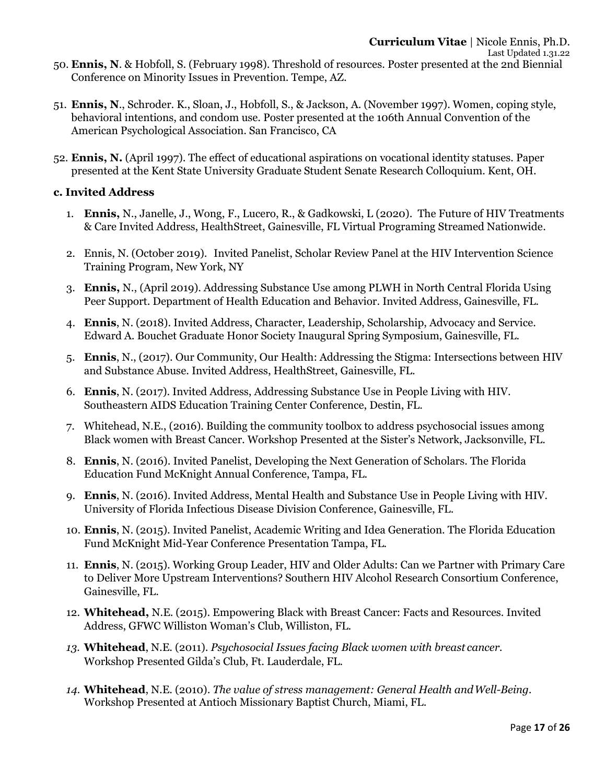- 50. **Ennis, N**. & Hobfoll, S. (February 1998). Threshold of resources. Poster presented at the 2nd Biennial Conference on Minority Issues in Prevention. Tempe, AZ.
- 51. **Ennis, N**., Schroder. K., Sloan, J., Hobfoll, S., & Jackson, A. (November 1997). Women, coping style, behavioral intentions, and condom use. Poster presented at the 106th Annual Convention of the American Psychological Association. San Francisco, CA
- 52. **Ennis, N.** (April 1997). The effect of educational aspirations on vocational identity statuses. Paper presented at the Kent State University Graduate Student Senate Research Colloquium. Kent, OH.

### **c. Invited Address**

- 1. **Ennis,** N., Janelle, J., Wong, F., Lucero, R., & Gadkowski, L (2020). The Future of HIV Treatments & Care Invited Address, HealthStreet, Gainesville, FL Virtual Programing Streamed Nationwide.
- 2. Ennis, N. (October 2019). Invited Panelist, Scholar Review Panel at the HIV Intervention Science Training Program, New York, NY
- 3. **Ennis,** N., (April 2019). Addressing Substance Use among PLWH in North Central Florida Using Peer Support. Department of Health Education and Behavior. Invited Address, Gainesville, FL.
- 4. **Ennis**, N. (2018). Invited Address, Character, Leadership, Scholarship, Advocacy and Service. Edward A. Bouchet Graduate Honor Society Inaugural Spring Symposium, Gainesville, FL.
- 5. **Ennis**, N., (2017). Our Community, Our Health: Addressing the Stigma: Intersections between HIV and Substance Abuse. Invited Address, HealthStreet, Gainesville, FL.
- 6. **Ennis**, N. (2017). Invited Address, Addressing Substance Use in People Living with HIV. Southeastern AIDS Education Training Center Conference, Destin, FL.
- 7. Whitehead, N.E., (2016). Building the community toolbox to address psychosocial issues among Black women with Breast Cancer. Workshop Presented at the Sister's Network, Jacksonville, FL.
- 8. **Ennis**, N. (2016). Invited Panelist, Developing the Next Generation of Scholars. The Florida Education Fund McKnight Annual Conference, Tampa, FL.
- 9. **Ennis**, N. (2016). Invited Address, Mental Health and Substance Use in People Living with HIV. University of Florida Infectious Disease Division Conference, Gainesville, FL.
- 10. **Ennis**, N. (2015). Invited Panelist, Academic Writing and Idea Generation. The Florida Education Fund McKnight Mid-Year Conference Presentation Tampa, FL.
- 11. **Ennis**, N. (2015). Working Group Leader, HIV and Older Adults: Can we Partner with Primary Care to Deliver More Upstream Interventions? Southern HIV Alcohol Research Consortium Conference, Gainesville, FL.
- 12. **Whitehead,** N.E. (2015). Empowering Black with Breast Cancer: Facts and Resources. Invited Address, GFWC Williston Woman's Club, Williston, FL.
- *13.* **Whitehead**, N.E. (2011). *Psychosocial Issues facing Black women with breast cancer.* Workshop Presented Gilda's Club, Ft. Lauderdale, FL.
- *14.* **Whitehead**, N.E. (2010). *The value of stress management: General Health andWell-Being.* Workshop Presented at Antioch Missionary Baptist Church, Miami, FL.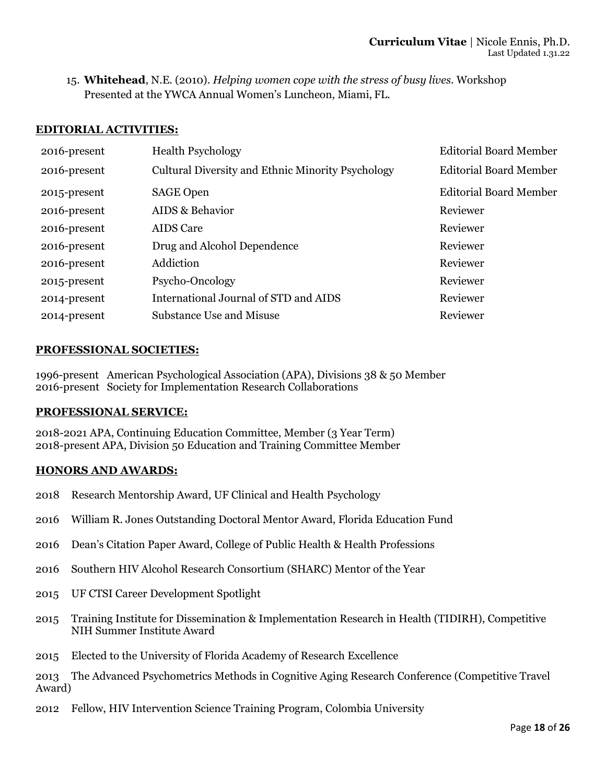15. **Whitehead**, N.E. (2010). *Helping women cope with the stress of busy lives.* Workshop Presented at the YWCA Annual Women's Luncheon, Miami, FL.

### **EDITORIAL ACTIVITIES:**

| 2016-present | <b>Health Psychology</b>                          | <b>Editorial Board Member</b> |
|--------------|---------------------------------------------------|-------------------------------|
| 2016-present | Cultural Diversity and Ethnic Minority Psychology | <b>Editorial Board Member</b> |
| 2015-present | <b>SAGE Open</b>                                  | <b>Editorial Board Member</b> |
| 2016-present | AIDS & Behavior                                   | Reviewer                      |
| 2016-present | <b>AIDS</b> Care                                  | Reviewer                      |
| 2016-present | Drug and Alcohol Dependence                       | Reviewer                      |
| 2016-present | Addiction                                         | Reviewer                      |
| 2015-present | Psycho-Oncology                                   | Reviewer                      |
| 2014-present | International Journal of STD and AIDS             | Reviewer                      |
| 2014-present | <b>Substance Use and Misuse</b>                   | Reviewer                      |

### **PROFESSIONAL SOCIETIES:**

1996-present American Psychological Association (APA), Divisions 38 & 50 Member 2016-present Society for Implementation Research Collaborations

### **PROFESSIONAL SERVICE:**

2018-2021 APA, Continuing Education Committee, Member (3 Year Term) 2018-present APA, Division 50 Education and Training Committee Member

### **HONORS AND AWARDS:**

- 2018 Research Mentorship Award, UF Clinical and Health Psychology
- 2016 William R. Jones Outstanding Doctoral Mentor Award, Florida Education Fund
- 2016 Dean's Citation Paper Award, College of Public Health & Health Professions
- 2016 Southern HIV Alcohol Research Consortium (SHARC) Mentor of the Year
- 2015 UF CTSI Career Development Spotlight
- 2015 Training Institute for Dissemination & Implementation Research in Health (TIDIRH), Competitive NIH Summer Institute Award
- 2015 Elected to the University of Florida Academy of Research Excellence

2013 The Advanced Psychometrics Methods in Cognitive Aging Research Conference (Competitive Travel Award)

2012 Fellow, HIV Intervention Science Training Program, Colombia University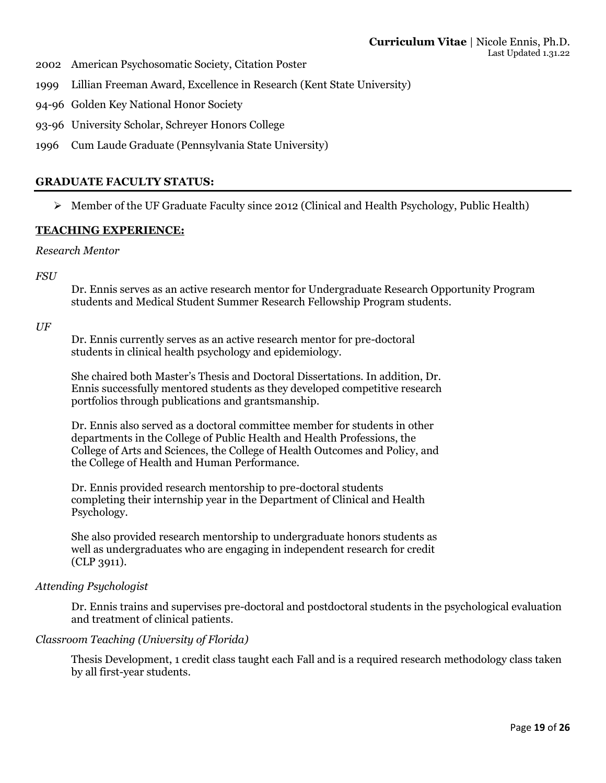- 2002 American Psychosomatic Society, Citation Poster
- 1999 Lillian Freeman Award, Excellence in Research (Kent State University)
- 94-96 Golden Key National Honor Society
- 93-96 University Scholar, Schreyer Honors College
- 1996 Cum Laude Graduate (Pennsylvania State University)

### **GRADUATE FACULTY STATUS:**

 $\triangleright$  Member of the UF Graduate Faculty since 2012 (Clinical and Health Psychology, Public Health)

### **TEACHING EXPERIENCE:**

#### *Research Mentor*

*FSU* 

Dr. Ennis serves as an active research mentor for Undergraduate Research Opportunity Program students and Medical Student Summer Research Fellowship Program students.

*UF*

Dr. Ennis currently serves as an active research mentor for pre-doctoral students in clinical health psychology and epidemiology.

She chaired both Master's Thesis and Doctoral Dissertations. In addition, Dr. Ennis successfully mentored students as they developed competitive research portfolios through publications and grantsmanship.

Dr. Ennis also served as a doctoral committee member for students in other departments in the College of Public Health and Health Professions, the College of Arts and Sciences, the College of Health Outcomes and Policy, and the College of Health and Human Performance.

Dr. Ennis provided research mentorship to pre-doctoral students completing their internship year in the Department of Clinical and Health Psychology.

She also provided research mentorship to undergraduate honors students as well as undergraduates who are engaging in independent research for credit (CLP 3911).

### *Attending Psychologist*

Dr. Ennis trains and supervises pre-doctoral and postdoctoral students in the psychological evaluation and treatment of clinical patients.

### *Classroom Teaching (University of Florida)*

Thesis Development, 1 credit class taught each Fall and is a required research methodology class taken by all first-year students.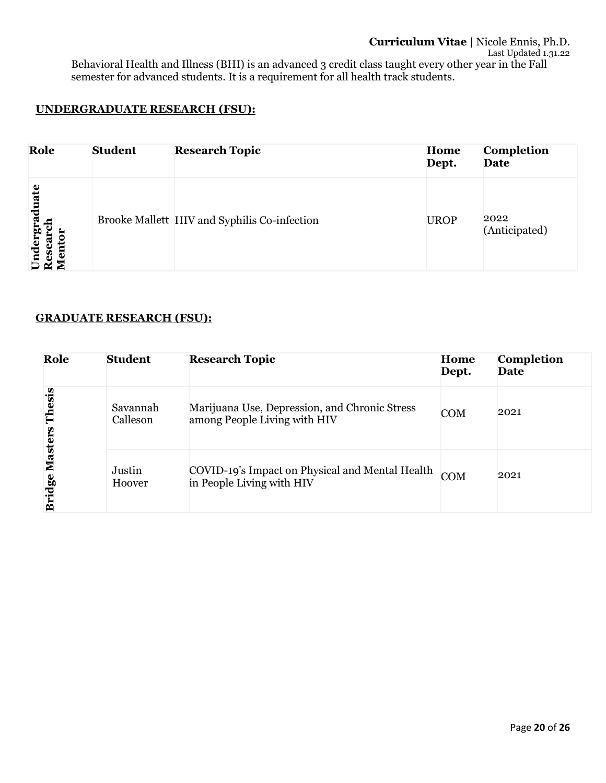## **UNDERGRADUATE RESEARCH (FSU):**

| Role                            | <b>Student</b> | <b>Research Topic</b>                        | Home<br>Dept. | Completion<br>Date    |
|---------------------------------|----------------|----------------------------------------------|---------------|-----------------------|
| Undergraduate<br>Research<br>සි |                | Brooke Mallett HIV and Syphilis Co-infection | <b>UROP</b>   | 2022<br>(Anticipated) |

### **GRADUATE RESEARCH (FSU):**

| Role                            | <b>Student</b>       | <b>Research Topic</b>                                                         | Home<br>Dept. | Completion<br>Date |
|---------------------------------|----------------------|-------------------------------------------------------------------------------|---------------|--------------------|
| Thesis                          | Savannah<br>Calleson | Marijuana Use, Depression, and Chronic Stress<br>among People Living with HIV | <b>COM</b>    | 2021               |
| <b>Masters</b><br><b>Bridge</b> | Justin<br>Hoover     | COVID-19's Impact on Physical and Mental Health<br>in People Living with HIV  | <b>COM</b>    | 2021               |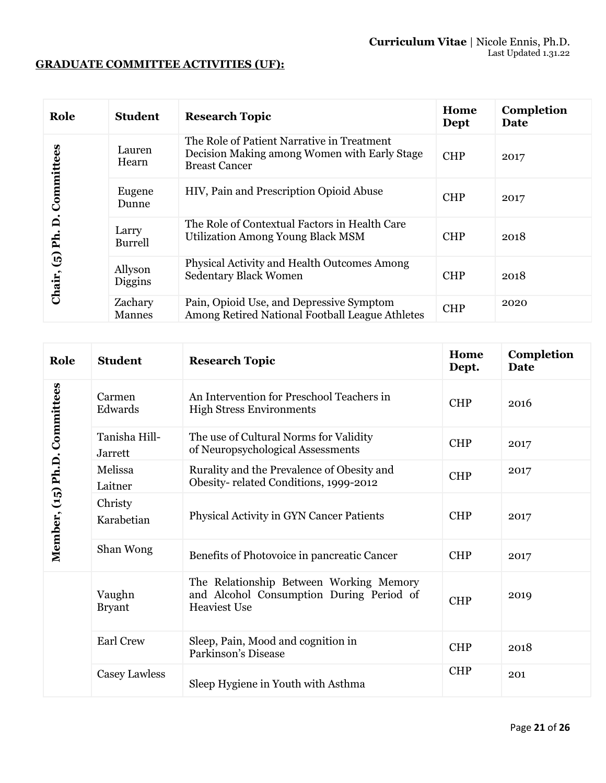# **GRADUATE COMMITTEE ACTIVITIES (UF):**

| Role                   | <b>Student</b>           | <b>Research Topic</b>                                                                                              | Home<br>Dept | Completion<br>Date |
|------------------------|--------------------------|--------------------------------------------------------------------------------------------------------------------|--------------|--------------------|
|                        | Lauren<br>Hearn          | The Role of Patient Narrative in Treatment<br>Decision Making among Women with Early Stage<br><b>Breast Cancer</b> | <b>CHP</b>   | 2017               |
| Committees             | Eugene<br>Dunne          | HIV, Pain and Prescription Opioid Abuse                                                                            | <b>CHP</b>   | 2017               |
| ี่⊨ี<br>Ph.            | Larry<br><b>Burrell</b>  | The Role of Contextual Factors in Health Care<br><b>Utilization Among Young Black MSM</b>                          | <b>CHP</b>   | 2018               |
| $\mathbf{G}$<br>Chair, | Allyson<br>Diggins       | Physical Activity and Health Outcomes Among<br><b>Sedentary Black Women</b>                                        | <b>CHP</b>   | 2018               |
|                        | Zachary<br><b>Mannes</b> | Pain, Opioid Use, and Depressive Symptom<br>Among Retired National Football League Athletes                        | <b>CHP</b>   | 2020               |

| Role                          | <b>Student</b>                  | <b>Research Topic</b>                                                                                      | Home<br>Dept. | Completion<br><b>Date</b> |
|-------------------------------|---------------------------------|------------------------------------------------------------------------------------------------------------|---------------|---------------------------|
|                               | Carmen<br>Edwards               | An Intervention for Preschool Teachers in<br><b>High Stress Environments</b>                               | <b>CHP</b>    | 2016                      |
|                               | Tanisha Hill-<br><b>Jarrett</b> | The use of Cultural Norms for Validity<br>of Neuropsychological Assessments                                | <b>CHP</b>    | 2017                      |
|                               | Melissa<br>Laitner              | Rurality and the Prevalence of Obesity and<br>Obesity-related Conditions, 1999-2012                        | <b>CHP</b>    | 2017                      |
| Member, (15) Ph.D. Committees | Christy<br>Karabetian           | Physical Activity in GYN Cancer Patients                                                                   | <b>CHP</b>    | 2017                      |
|                               | Shan Wong                       | Benefits of Photovoice in pancreatic Cancer                                                                | <b>CHP</b>    | 2017                      |
|                               | Vaughn<br><b>Bryant</b>         | The Relationship Between Working Memory<br>and Alcohol Consumption During Period of<br><b>Heaviest Use</b> | <b>CHP</b>    | 2019                      |
|                               | <b>Earl Crew</b>                | Sleep, Pain, Mood and cognition in<br>Parkinson's Disease                                                  | <b>CHP</b>    | 2018                      |
|                               | Casey Lawless                   | Sleep Hygiene in Youth with Asthma                                                                         | <b>CHP</b>    | 201                       |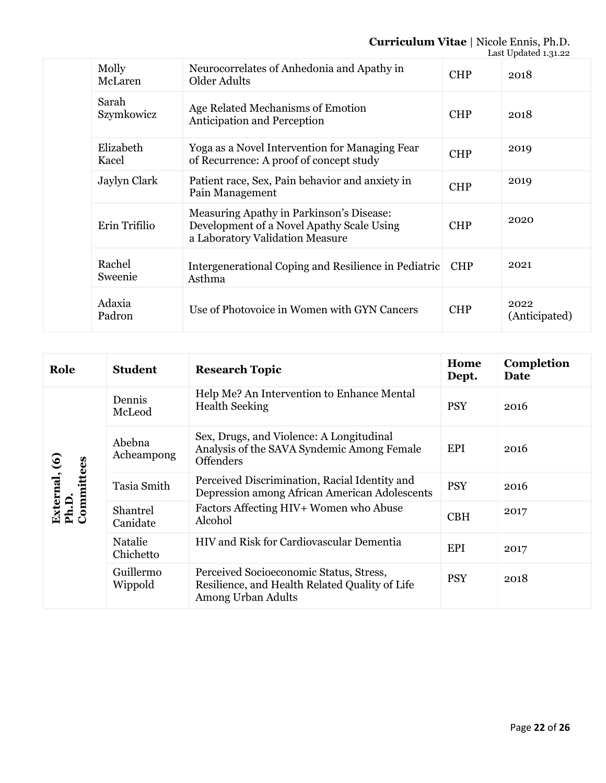### **Curriculum Vitae** | Nicole Ennis, Ph.D.

|  |                     |                                                                                                                          |            | Last Updated 1.31.22  |
|--|---------------------|--------------------------------------------------------------------------------------------------------------------------|------------|-----------------------|
|  | Molly<br>McLaren    | Neurocorrelates of Anhedonia and Apathy in<br>Older Adults                                                               | <b>CHP</b> | 2018                  |
|  | Sarah<br>Szymkowicz | Age Related Mechanisms of Emotion<br><b>Anticipation and Perception</b>                                                  | <b>CHP</b> | 2018                  |
|  | Elizabeth<br>Kacel  | Yoga as a Novel Intervention for Managing Fear<br>of Recurrence: A proof of concept study                                | <b>CHP</b> | 2019                  |
|  | Jaylyn Clark        | Patient race, Sex, Pain behavior and anxiety in<br>Pain Management                                                       | <b>CHP</b> | 2019                  |
|  | Erin Trifilio       | Measuring Apathy in Parkinson's Disease:<br>Development of a Novel Apathy Scale Using<br>a Laboratory Validation Measure | <b>CHP</b> | 2020                  |
|  | Rachel<br>Sweenie   | Intergenerational Coping and Resilience in Pediatric<br>Asthma                                                           | <b>CHP</b> | 2021                  |
|  | Adaxia<br>Padron    | Use of Photovoice in Women with GYN Cancers                                                                              | <b>CHP</b> | 2022<br>(Anticipated) |

| Role                                 | <b>Student</b>       | <b>Research Topic</b>                                                                                           | Home<br>Dept. | Completion<br>Date |
|--------------------------------------|----------------------|-----------------------------------------------------------------------------------------------------------------|---------------|--------------------|
| External, (6)<br>Ph.D.<br>Committees | Dennis<br>McLeod     | Help Me? An Intervention to Enhance Mental<br><b>Health Seeking</b>                                             | <b>PSY</b>    | 2016               |
|                                      | Abebna<br>Acheampong | Sex, Drugs, and Violence: A Longitudinal<br>Analysis of the SAVA Syndemic Among Female<br><b>Offenders</b>      | EPI           | 2016               |
|                                      | Tasia Smith          | Perceived Discrimination, Racial Identity and<br>Depression among African American Adolescents                  | <b>PSY</b>    | 2016               |
|                                      | Shantrel<br>Canidate | Factors Affecting HIV+ Women who Abuse<br>Alcohol                                                               | <b>CBH</b>    | 2017               |
|                                      | Natalie<br>Chichetto | <b>HIV and Risk for Cardiovascular Dementia</b>                                                                 | EPI           | 2017               |
|                                      | Guillermo<br>Wippold | Perceived Socioeconomic Status, Stress,<br>Resilience, and Health Related Quality of Life<br>Among Urban Adults | <b>PSY</b>    | 2018               |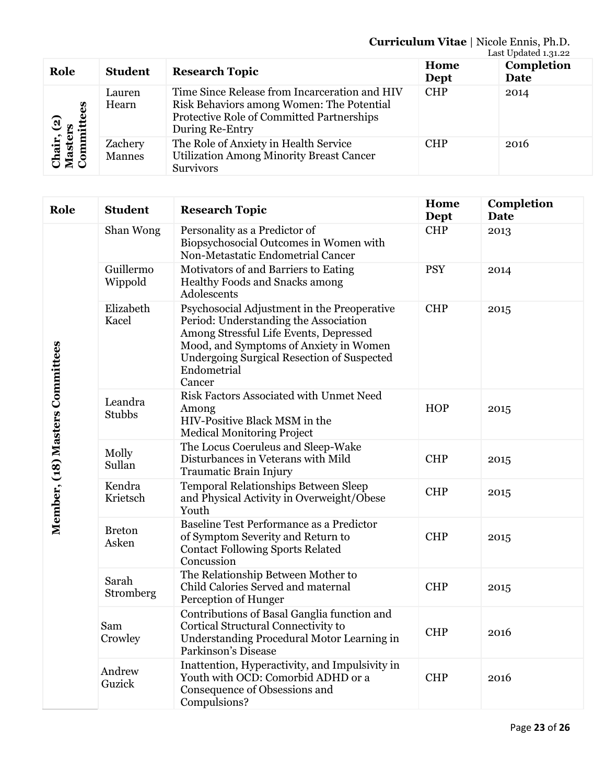### **Curriculum Vitae** | Nicole Ennis, Ph.D.

|                                                         |                          |                                                                                                                                                            |              | Last Updated 1.31.22 |
|---------------------------------------------------------|--------------------------|------------------------------------------------------------------------------------------------------------------------------------------------------------|--------------|----------------------|
| Role                                                    | <b>Student</b>           | <b>Research Topic</b>                                                                                                                                      | Home<br>Dept | Completion<br>Date   |
| 89<br>amitte<br>Chair, (2)<br>Masters<br>$\mathbf{Con}$ | Lauren<br>Hearn          | Time Since Release from Incarceration and HIV<br>Risk Behaviors among Women: The Potential<br>Protective Role of Committed Partnerships<br>During Re-Entry | <b>CHP</b>   | 2014                 |
|                                                         | Zachery<br><b>Mannes</b> | The Role of Anxiety in Health Service<br><b>Utilization Among Minority Breast Cancer</b><br><b>Survivors</b>                                               | <b>CHP</b>   | 2016                 |

| Role                            | <b>Student</b>         | <b>Research Topic</b>                                                                                                                                                                                                                                  | Home<br>Dept | Completion<br><b>Date</b> |
|---------------------------------|------------------------|--------------------------------------------------------------------------------------------------------------------------------------------------------------------------------------------------------------------------------------------------------|--------------|---------------------------|
| Member, (18) Masters Committees | Shan Wong              | Personality as a Predictor of<br>Biopsychosocial Outcomes in Women with<br>Non-Metastatic Endometrial Cancer                                                                                                                                           | <b>CHP</b>   | 2013                      |
|                                 | Guillermo<br>Wippold   | Motivators of and Barriers to Eating<br>Healthy Foods and Snacks among<br>Adolescents                                                                                                                                                                  | <b>PSY</b>   | 2014                      |
|                                 | Elizabeth<br>Kacel     | Psychosocial Adjustment in the Preoperative<br>Period: Understanding the Association<br>Among Stressful Life Events, Depressed<br>Mood, and Symptoms of Anxiety in Women<br><b>Undergoing Surgical Resection of Suspected</b><br>Endometrial<br>Cancer | <b>CHP</b>   | 2015                      |
|                                 | Leandra<br>Stubbs      | Risk Factors Associated with Unmet Need<br>Among<br>HIV-Positive Black MSM in the<br><b>Medical Monitoring Project</b>                                                                                                                                 | <b>HOP</b>   | 2015                      |
|                                 | Molly<br>Sullan        | The Locus Coeruleus and Sleep-Wake<br>Disturbances in Veterans with Mild<br>Traumatic Brain Injury                                                                                                                                                     | <b>CHP</b>   | 2015                      |
|                                 | Kendra<br>Krietsch     | Temporal Relationships Between Sleep<br>and Physical Activity in Overweight/Obese<br>Youth                                                                                                                                                             | <b>CHP</b>   | 2015                      |
|                                 | <b>Breton</b><br>Asken | Baseline Test Performance as a Predictor<br>of Symptom Severity and Return to<br><b>Contact Following Sports Related</b><br>Concussion                                                                                                                 | <b>CHP</b>   | 2015                      |
|                                 | Sarah<br>Stromberg     | The Relationship Between Mother to<br>Child Calories Served and maternal<br>Perception of Hunger                                                                                                                                                       | <b>CHP</b>   | 2015                      |
|                                 | Sam<br>Crowley         | Contributions of Basal Ganglia function and<br>Cortical Structural Connectivity to<br>Understanding Procedural Motor Learning in<br>Parkinson's Disease                                                                                                | <b>CHP</b>   | 2016                      |
|                                 | Andrew<br>Guzick       | Inattention, Hyperactivity, and Impulsivity in<br>Youth with OCD: Comorbid ADHD or a<br>Consequence of Obsessions and<br>Compulsions?                                                                                                                  | <b>CHP</b>   | 2016                      |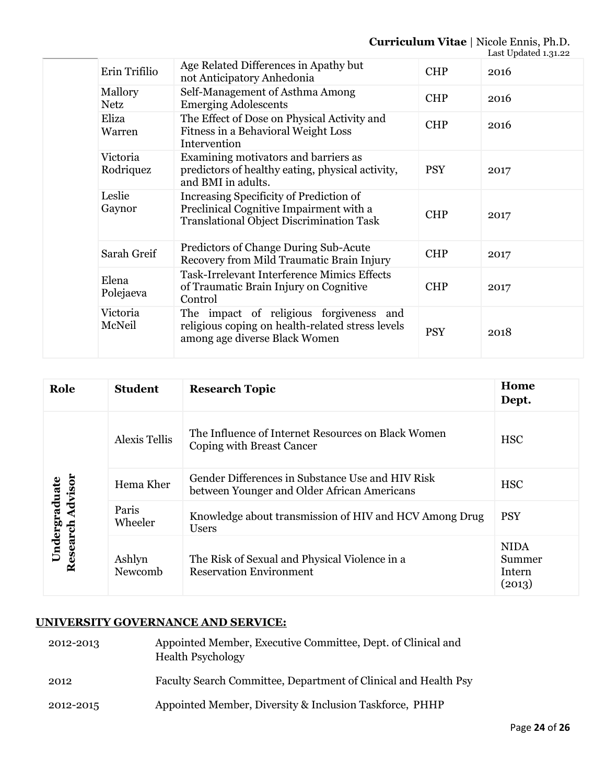# **Curriculum Vitae** | Nicole Ennis, Ph.D.

|  |                        |                                                                                                                                       |            | Last Updated 1.31.22 |
|--|------------------------|---------------------------------------------------------------------------------------------------------------------------------------|------------|----------------------|
|  | Erin Trifilio          | Age Related Differences in Apathy but<br>not Anticipatory Anhedonia                                                                   | <b>CHP</b> | 2016                 |
|  | Mallory<br><b>Netz</b> | Self-Management of Asthma Among<br><b>Emerging Adolescents</b>                                                                        | <b>CHP</b> | 2016                 |
|  | Eliza<br>Warren        | The Effect of Dose on Physical Activity and<br>Fitness in a Behavioral Weight Loss<br>Intervention                                    | <b>CHP</b> | 2016                 |
|  | Victoria<br>Rodriquez  | Examining motivators and barriers as<br>predictors of healthy eating, physical activity,<br>and BMI in adults.                        | <b>PSY</b> | 2017                 |
|  | Leslie<br>Gaynor       | Increasing Specificity of Prediction of<br>Preclinical Cognitive Impairment with a<br><b>Translational Object Discrimination Task</b> | <b>CHP</b> | 2017                 |
|  | Sarah Greif            | Predictors of Change During Sub-Acute<br>Recovery from Mild Traumatic Brain Injury                                                    | <b>CHP</b> | 2017                 |
|  | Elena<br>Polejaeva     | <b>Task-Irrelevant Interference Mimics Effects</b><br>of Traumatic Brain Injury on Cognitive<br>Control                               | <b>CHP</b> | 2017                 |
|  | Victoria<br>McNeil     | The impact of religious forgiveness<br>and<br>religious coping on health-related stress levels<br>among age diverse Black Women       | <b>PSY</b> | 2018                 |

| Role                                 | <b>Student</b>       | <b>Research Topic</b>                                                                           | Home<br>Dept.                             |
|--------------------------------------|----------------------|-------------------------------------------------------------------------------------------------|-------------------------------------------|
| Advisor<br>Undergraduate<br>Research | <b>Alexis Tellis</b> | The Influence of Internet Resources on Black Women<br>Coping with Breast Cancer                 | <b>HSC</b>                                |
|                                      | Hema Kher            | Gender Differences in Substance Use and HIV Risk<br>between Younger and Older African Americans | <b>HSC</b>                                |
|                                      | Paris<br>Wheeler     | Knowledge about transmission of HIV and HCV Among Drug<br>Users                                 | <b>PSY</b>                                |
|                                      | Ashlyn<br>Newcomb    | The Risk of Sexual and Physical Violence in a<br><b>Reservation Environment</b>                 | <b>NIDA</b><br>Summer<br>Intern<br>(2013) |

# **UNIVERSITY GOVERNANCE AND SERVICE:**

- 2012-2013 Appointed Member, Executive Committee, Dept. of Clinical and Health Psychology 2012 Faculty Search Committee, Department of Clinical and Health Psy
- 2012-2015 Appointed Member, Diversity & Inclusion Taskforce, PHHP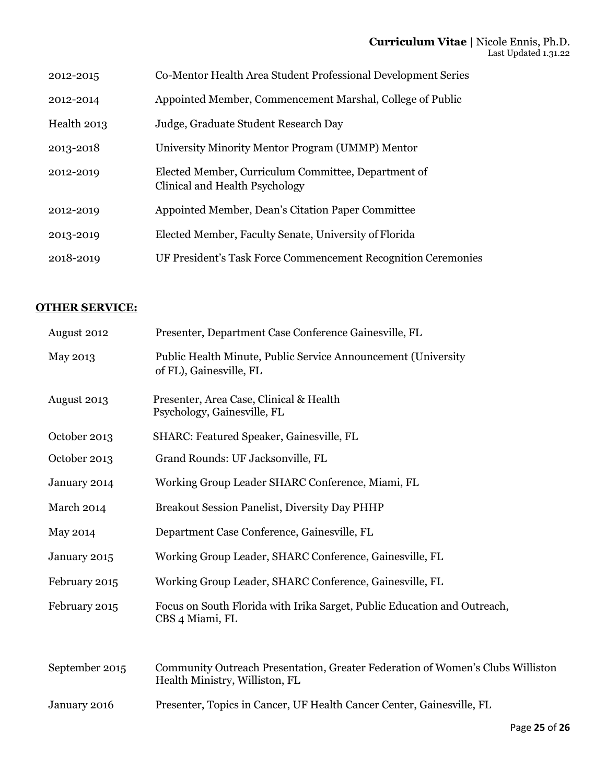| 2012-2015   | Co-Mentor Health Area Student Professional Development Series                         |
|-------------|---------------------------------------------------------------------------------------|
| 2012-2014   | Appointed Member, Commencement Marshal, College of Public                             |
| Health 2013 | Judge, Graduate Student Research Day                                                  |
| 2013-2018   | University Minority Mentor Program (UMMP) Mentor                                      |
| 2012-2019   | Elected Member, Curriculum Committee, Department of<br>Clinical and Health Psychology |
| 2012-2019   | Appointed Member, Dean's Citation Paper Committee                                     |
| 2013-2019   | Elected Member, Faculty Senate, University of Florida                                 |
| 2018-2019   | UF President's Task Force Commencement Recognition Ceremonies                         |

# **OTHER SERVICE:**

| August 2012    | Presenter, Department Case Conference Gainesville, FL                                                            |
|----------------|------------------------------------------------------------------------------------------------------------------|
| May 2013       | Public Health Minute, Public Service Announcement (University<br>of FL), Gainesville, FL                         |
| August 2013    | Presenter, Area Case, Clinical & Health<br>Psychology, Gainesville, FL                                           |
| October 2013   | SHARC: Featured Speaker, Gainesville, FL                                                                         |
| October 2013   | Grand Rounds: UF Jacksonville, FL                                                                                |
| January 2014   | Working Group Leader SHARC Conference, Miami, FL                                                                 |
| March 2014     | Breakout Session Panelist, Diversity Day PHHP                                                                    |
| May 2014       | Department Case Conference, Gainesville, FL                                                                      |
| January 2015   | Working Group Leader, SHARC Conference, Gainesville, FL                                                          |
| February 2015  | Working Group Leader, SHARC Conference, Gainesville, FL                                                          |
| February 2015  | Focus on South Florida with Irika Sarget, Public Education and Outreach,<br>CBS 4 Miami, FL                      |
| September 2015 | Community Outreach Presentation, Greater Federation of Women's Clubs Williston<br>Health Ministry, Williston, FL |
| January 2016   | Presenter, Topics in Cancer, UF Health Cancer Center, Gainesville, FL                                            |
|                |                                                                                                                  |